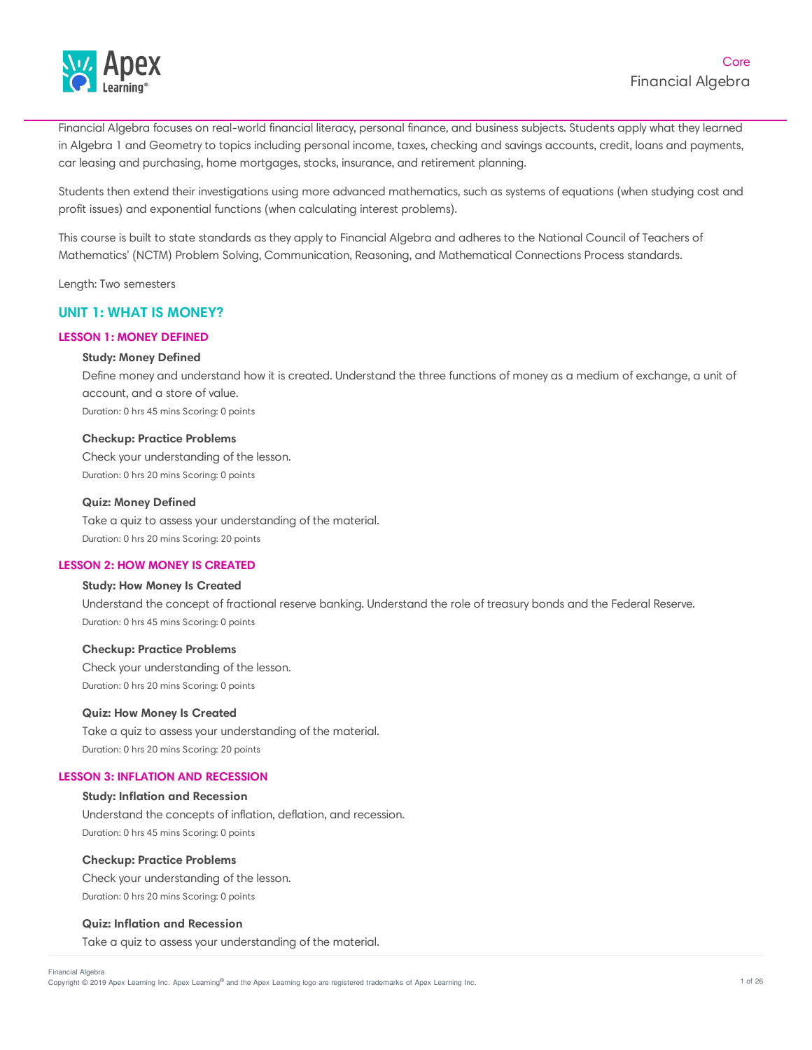

Financial Algebra focuses on real-world financial literacy, personal finance, and business subjects. Students apply what they learned in Algebra 1 and Geometry to topics including personal income, taxes, checking and savings accounts, credit, loans and payments, car leasing and purchasing, home mortgages, stocks, insurance, and retirement planning.

Students then extend their investigations using more advanced mathematics, such as systems of equations (when studying cost and profit issues) and exponential functions (when calculating interest problems).

This course is built to state standards as they apply to Financial Algebra and adheres to the National Council of Teachers of Mathematics' (NCTM) Problem Solving, Communication, Reasoning, and Mathematical Connections Process standards.

Length: Two semesters

# **UNIT 1: WHAT IS MONEY?**

# **LESSON 1: MONEY DEFINED**

## **Study: Money Defined**

Define money and understand how it is created. Understand the three functions of money as a medium of exchange, a unit of account, and a store of value. Duration: 0 hrs 45 mins Scoring: 0 points

**Checkup: Practice Problems**

Check your understanding of the lesson. Duration: 0 hrs 20 mins Scoring: 0 points

#### **Quiz: Money Defined**

Take a quiz to assess your understanding of the material. Duration: 0 hrs 20 mins Scoring: 20 points

#### **LESSON 2: HOW MONEY IS CREATED**

# **Study: How Money Is Created**

Understand the concept of fractional reserve banking. Understand the role of treasury bonds and the Federal Reserve. Duration: 0 hrs 45 mins Scoring: 0 points

#### **Checkup: Practice Problems**

Check your understanding of the lesson. Duration: 0 hrs 20 mins Scoring: 0 points

## **Quiz: How Money Is Created**

Take a quiz to assess your understanding of the material. Duration: 0 hrs 20 mins Scoring: 20 points

## **LESSON 3: INFLATION AND RECESSION**

## **Study: Inflation and Recession**

Understand the concepts of inflation, deflation, and recession. Duration: 0 hrs 45 mins Scoring: 0 points

#### **Checkup: Practice Problems**

Check your understanding of the lesson. Duration: 0 hrs 20 mins Scoring: 0 points

#### **Quiz: Inflation and Recession**

Take a quiz to assess your understanding of the material.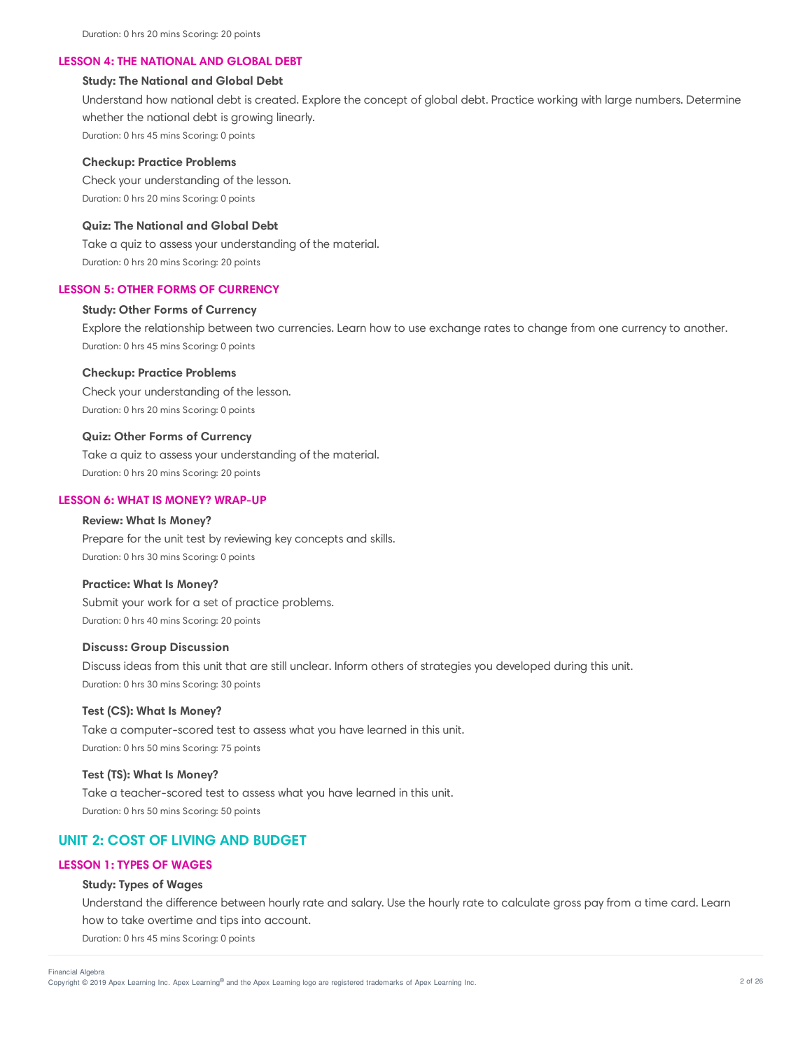#### **LESSON 4: THE NATIONAL AND GLOBAL DEBT**

# **Study: The National and Global Debt**

Understand how national debt is created. Explore the concept of global debt. Practice working with large numbers. Determine whether the national debt is growing linearly. Duration: 0 hrs 45 mins Scoring: 0 points

#### **Checkup: Practice Problems**

Check your understanding of the lesson. Duration: 0 hrs 20 mins Scoring: 0 points

# **Quiz: The National and Global Debt**

Take a quiz to assess your understanding of the material. Duration: 0 hrs 20 mins Scoring: 20 points

## **LESSON 5: OTHER FORMS OF CURRENCY**

# **Study: Other Forms of Currency**

Explore the relationship between two currencies. Learn how to use exchange rates to change from one currency to another. Duration: 0 hrs 45 mins Scoring: 0 points

#### **Checkup: Practice Problems**

Check your understanding of the lesson. Duration: 0 hrs 20 mins Scoring: 0 points

#### **Quiz: Other Forms of Currency**

Take a quiz to assess your understanding of the material. Duration: 0 hrs 20 mins Scoring: 20 points

#### **LESSON 6: WHAT IS MONEY? WRAP-UP**

#### **Review: What Is Money?**

Prepare for the unit test by reviewing key concepts and skills. Duration: 0 hrs 30 mins Scoring: 0 points

## **Practice: What Is Money?**

Submit your work for a set of practice problems. Duration: 0 hrs 40 mins Scoring: 20 points

## **Discuss: Group Discussion**

Discuss ideas from this unit that are still unclear. Inform others of strategies you developed during this unit. Duration: 0 hrs 30 mins Scoring: 30 points

## **Test (CS): What Is Money?**

Take a computer-scored test to assess what you have learned in this unit. Duration: 0 hrs 50 mins Scoring: 75 points

#### **Test (TS): What Is Money?**

Take a teacher-scored test to assess what you have learned in this unit. Duration: 0 hrs 50 mins Scoring: 50 points

# **UNIT 2: COST OF LIVING AND BUDGET**

#### **LESSON 1: TYPES OF WAGES**

#### **Study: Types of Wages**

Understand the difference between hourly rate and salary. Use the hourly rate to calculate gross pay from a time card. Learn how to take overtime and tips into account.

Duration: 0 hrs 45 mins Scoring: 0 points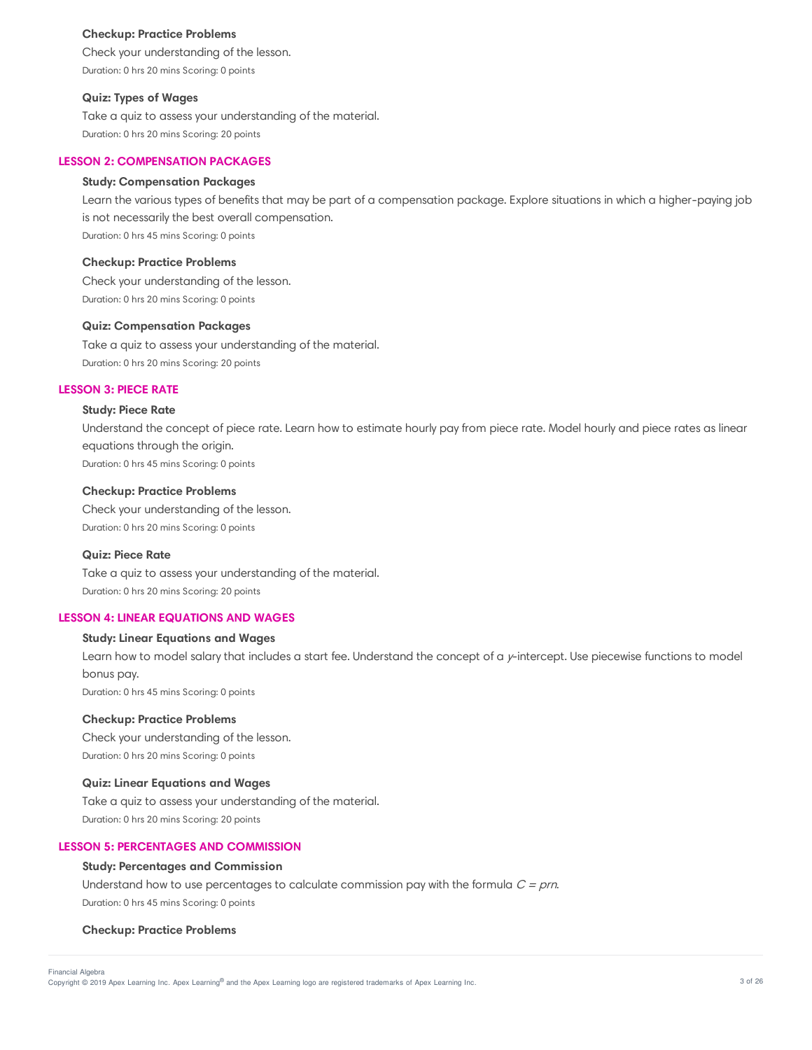#### **Checkup: Practice Problems**

Check your understanding of the lesson. Duration: 0 hrs 20 mins Scoring: 0 points

# **Quiz: Types of Wages**

Take a quiz to assess your understanding of the material. Duration: 0 hrs 20 mins Scoring: 20 points

## **LESSON 2: COMPENSATION PACKAGES**

## **Study: Compensation Packages**

Learn the various types of benefits that may be part of a compensation package. Explore situations in which a higher-paying job is not necessarily the best overall compensation. Duration: 0 hrs 45 mins Scoring: 0 points

**Checkup: Practice Problems**

Check your understanding of the lesson. Duration: 0 hrs 20 mins Scoring: 0 points

#### **Quiz: Compensation Packages**

Take a quiz to assess your understanding of the material. Duration: 0 hrs 20 mins Scoring: 20 points

#### **LESSON 3: PIECE RATE**

# **Study: Piece Rate**

Understand the concept of piece rate. Learn how to estimate hourly pay from piece rate. Model hourly and piece rates as linear equations through the origin. Duration: 0 hrs 45 mins Scoring: 0 points

#### **Checkup: Practice Problems**

Check your understanding of the lesson. Duration: 0 hrs 20 mins Scoring: 0 points

#### **Quiz: Piece Rate**

Take a quiz to assess your understanding of the material. Duration: 0 hrs 20 mins Scoring: 20 points

# **LESSON 4: LINEAR EQUATIONS AND WAGES**

## **Study: Linear Equations and Wages**

Learn how to model salary that includes a start fee. Understand the concept of a y-intercept. Use piecewise functions to model bonus pay. Duration: 0 hrs 45 mins Scoring: 0 points

#### **Checkup: Practice Problems**

Check your understanding of the lesson. Duration: 0 hrs 20 mins Scoring: 0 points

#### **Quiz: Linear Equations and Wages**

Take a quiz to assess your understanding of the material. Duration: 0 hrs 20 mins Scoring: 20 points

# **LESSON 5: PERCENTAGES AND COMMISSION**

#### **Study: Percentages and Commission**

Understand how to use percentages to calculate commission pay with the formula  $C = prn$ . Duration: 0 hrs 45 mins Scoring: 0 points

#### **Checkup: Practice Problems**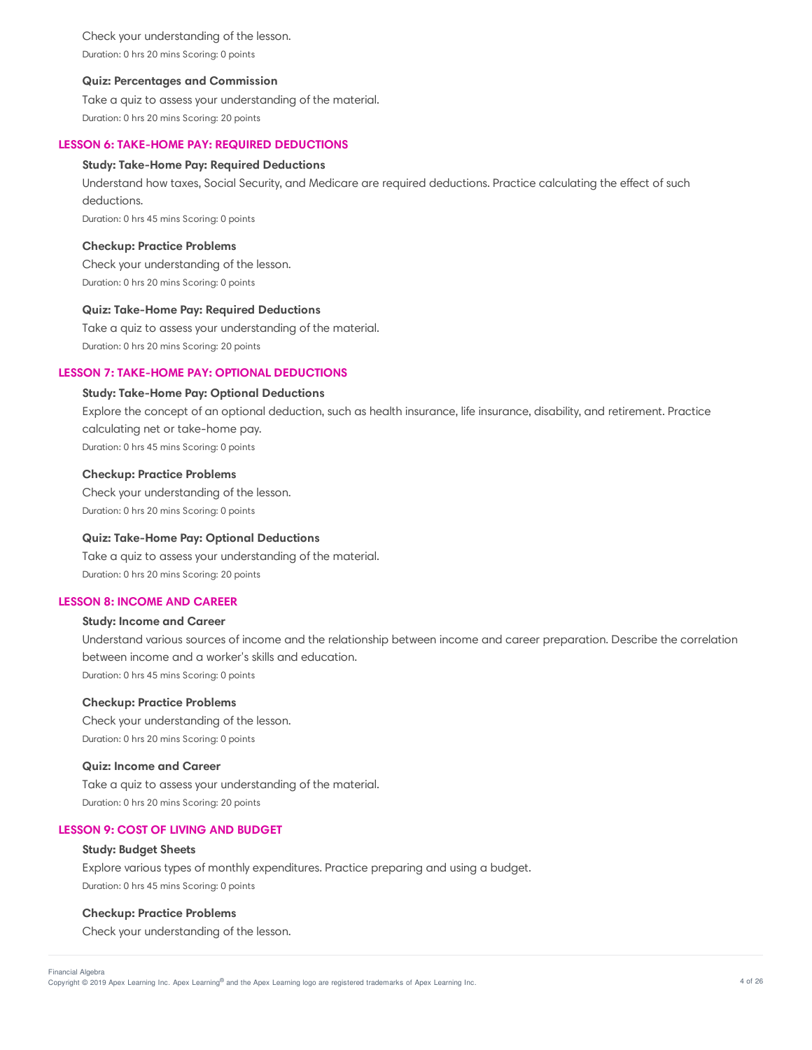Check your understanding of the lesson. Duration: 0 hrs 20 mins Scoring: 0 points

#### **Quiz: Percentages and Commission**

Take a quiz to assess your understanding of the material. Duration: 0 hrs 20 mins Scoring: 20 points

## **LESSON 6: TAKE-HOME PAY: REQUIRED DEDUCTIONS**

## **Study: Take-Home Pay: Required Deductions**

Understand how taxes, Social Security, and Medicare are required deductions. Practice calculating the effect of such deductions.

Duration: 0 hrs 45 mins Scoring: 0 points

#### **Checkup: Practice Problems**

Check your understanding of the lesson. Duration: 0 hrs 20 mins Scoring: 0 points

#### **Quiz: Take-Home Pay: Required Deductions**

Take a quiz to assess your understanding of the material. Duration: 0 hrs 20 mins Scoring: 20 points

# **LESSON 7: TAKE-HOME PAY: OPTIONAL DEDUCTIONS**

# **Study: Take-Home Pay: Optional Deductions**

Explore the concept of an optional deduction, such as health insurance, life insurance, disability, and retirement. Practice calculating net or take-home pay. Duration: 0 hrs 45 mins Scoring: 0 points

**Checkup: Practice Problems** Check your understanding of the lesson.

Duration: 0 hrs 20 mins Scoring: 0 points

## **Quiz: Take-Home Pay: Optional Deductions**

Take a quiz to assess your understanding of the material. Duration: 0 hrs 20 mins Scoring: 20 points

# **LESSON 8: INCOME AND CAREER**

## **Study: Income and Career**

Understand various sources of income and the relationship between income and career preparation. Describe the correlation between income and a worker's skills and education. Duration: 0 hrs 45 mins Scoring: 0 points

#### **Checkup: Practice Problems**

Check your understanding of the lesson. Duration: 0 hrs 20 mins Scoring: 0 points

#### **Quiz: Income and Career**

Take a quiz to assess your understanding of the material. Duration: 0 hrs 20 mins Scoring: 20 points

# **LESSON 9: COST OF LIVING AND BUDGET**

#### **Study: Budget Sheets**

Explore various types of monthly expenditures. Practice preparing and using a budget. Duration: 0 hrs 45 mins Scoring: 0 points

#### **Checkup: Practice Problems**

Check your understanding of the lesson.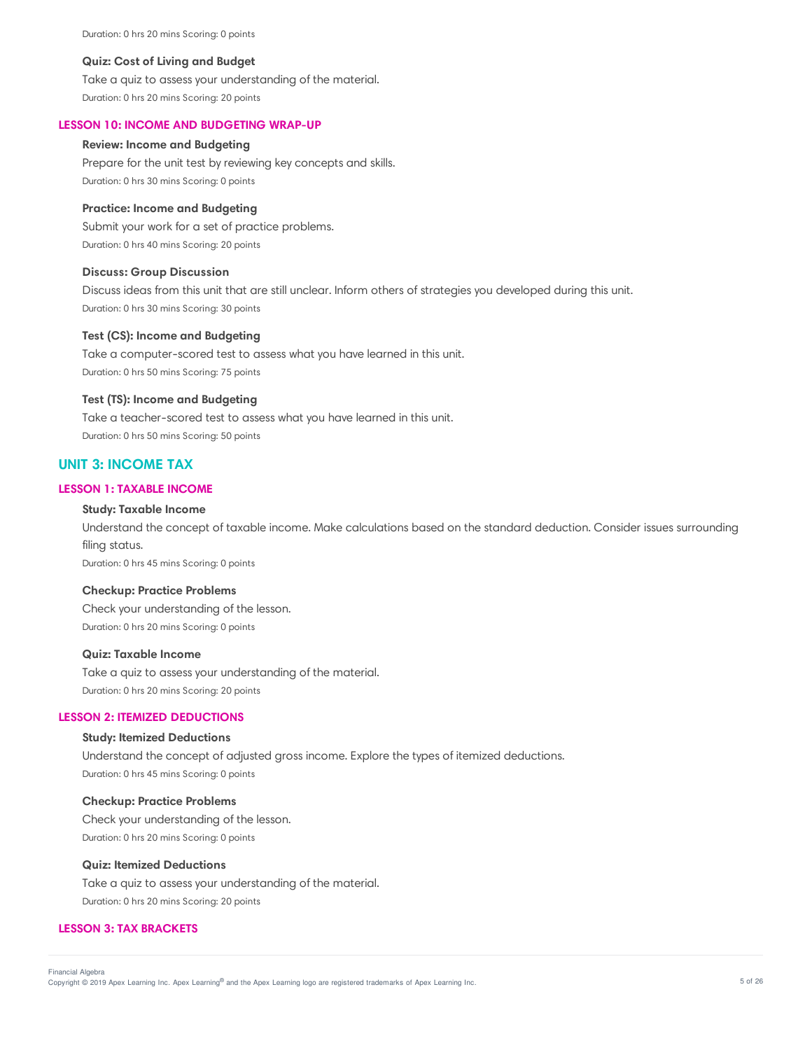Duration: 0 hrs 20 mins Scoring: 0 points

#### **Quiz: Cost of Living and Budget**

Take a quiz to assess your understanding of the material. Duration: 0 hrs 20 mins Scoring: 20 points

#### **LESSON 10: INCOME AND BUDGETING WRAP-UP**

# **Review: Income and Budgeting**

Prepare for the unit test by reviewing key concepts and skills. Duration: 0 hrs 30 mins Scoring: 0 points

#### **Practice: Income and Budgeting**

Submit your work for a set of practice problems. Duration: 0 hrs 40 mins Scoring: 20 points

#### **Discuss: Group Discussion**

Discuss ideas from this unit that are still unclear. Inform others of strategies you developed during this unit. Duration: 0 hrs 30 mins Scoring: 30 points

### **Test (CS): Income and Budgeting**

Take a computer-scored test to assess what you have learned in this unit. Duration: 0 hrs 50 mins Scoring: 75 points

## **Test (TS): Income and Budgeting**

Take a teacher-scored test to assess what you have learned in this unit. Duration: 0 hrs 50 mins Scoring: 50 points

# **UNIT 3: INCOME TAX**

# **LESSON 1: TAXABLE INCOME**

## **Study: Taxable Income**

Understand the concept of taxable income. Make calculations based on the standard deduction. Consider issues surrounding filing status.

Duration: 0 hrs 45 mins Scoring: 0 points

## **Checkup: Practice Problems**

Check your understanding of the lesson. Duration: 0 hrs 20 mins Scoring: 0 points

## **Quiz: Taxable Income**

Take a quiz to assess your understanding of the material. Duration: 0 hrs 20 mins Scoring: 20 points

#### **LESSON 2: ITEMIZED DEDUCTIONS**

## **Study: Itemized Deductions**

Understand the concept of adjusted gross income. Explore the types of itemized deductions. Duration: 0 hrs 45 mins Scoring: 0 points

# **Checkup: Practice Problems**

Check your understanding of the lesson. Duration: 0 hrs 20 mins Scoring: 0 points

#### **Quiz: Itemized Deductions**

Take a quiz to assess your understanding of the material. Duration: 0 hrs 20 mins Scoring: 20 points

# **LESSON 3: TAX BRACKETS**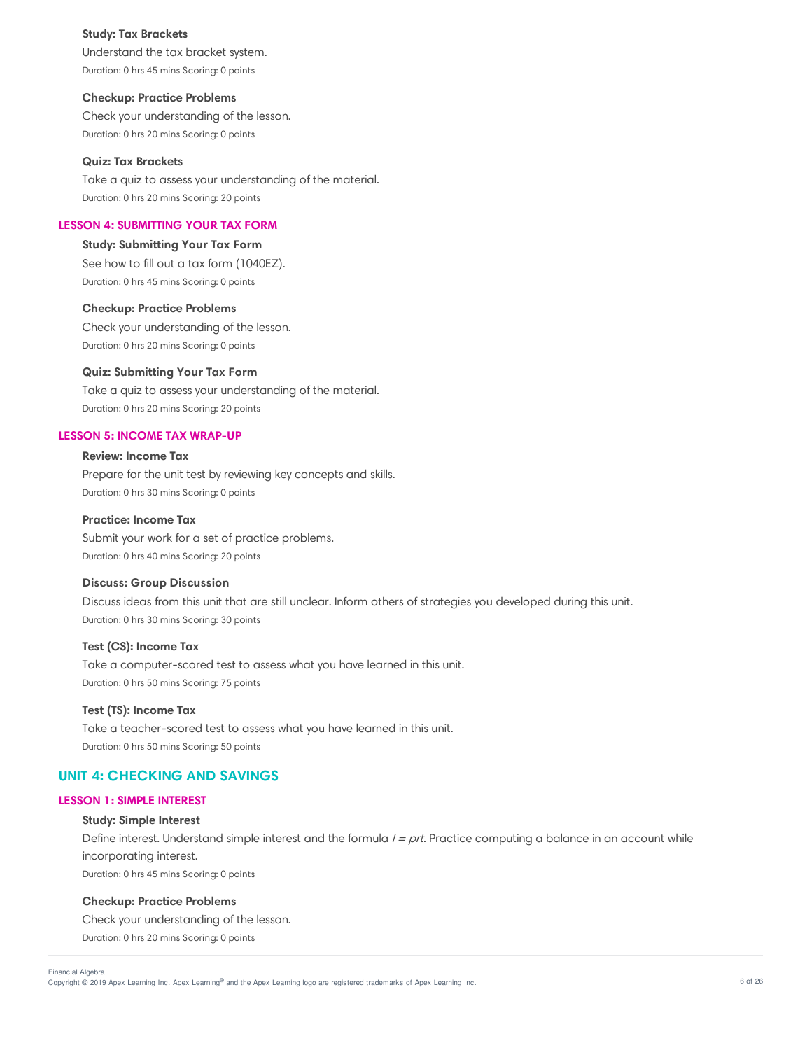#### **Study: Tax Brackets**

Understand the tax bracket system. Duration: 0 hrs 45 mins Scoring: 0 points

## **Checkup: Practice Problems**

Check your understanding of the lesson. Duration: 0 hrs 20 mins Scoring: 0 points

#### **Quiz: Tax Brackets**

Take a quiz to assess your understanding of the material. Duration: 0 hrs 20 mins Scoring: 20 points

# **LESSON 4: SUBMITTING YOUR TAX FORM**

**Study: Submitting Your Tax Form** See how to fill out a tax form (1040EZ). Duration: 0 hrs 45 mins Scoring: 0 points

**Checkup: Practice Problems** Check your understanding of the lesson. Duration: 0 hrs 20 mins Scoring: 0 points

## **Quiz: Submitting Your Tax Form**

Take a quiz to assess your understanding of the material. Duration: 0 hrs 20 mins Scoring: 20 points

# **LESSON 5: INCOME TAX WRAP-UP**

# **Review: Income Tax**

Prepare for the unit test by reviewing key concepts and skills. Duration: 0 hrs 30 mins Scoring: 0 points

#### **Practice: Income Tax**

Submit your work for a set of practice problems. Duration: 0 hrs 40 mins Scoring: 20 points

#### **Discuss: Group Discussion**

Discuss ideas from this unit that are still unclear. Inform others of strategies you developed during this unit. Duration: 0 hrs 30 mins Scoring: 30 points

# **Test (CS): Income Tax**

Take a computer-scored test to assess what you have learned in this unit. Duration: 0 hrs 50 mins Scoring: 75 points

# **Test (TS): Income Tax**

Take a teacher-scored test to assess what you have learned in this unit. Duration: 0 hrs 50 mins Scoring: 50 points

# **UNIT 4: CHECKING AND SAVINGS**

## **LESSON 1: SIMPLE INTEREST**

#### **Study: Simple Interest**

Define interest. Understand simple interest and the formula  $I = prt$ . Practice computing a balance in an account while incorporating interest.

Duration: 0 hrs 45 mins Scoring: 0 points

## **Checkup: Practice Problems**

Check your understanding of the lesson.

Duration: 0 hrs 20 mins Scoring: 0 points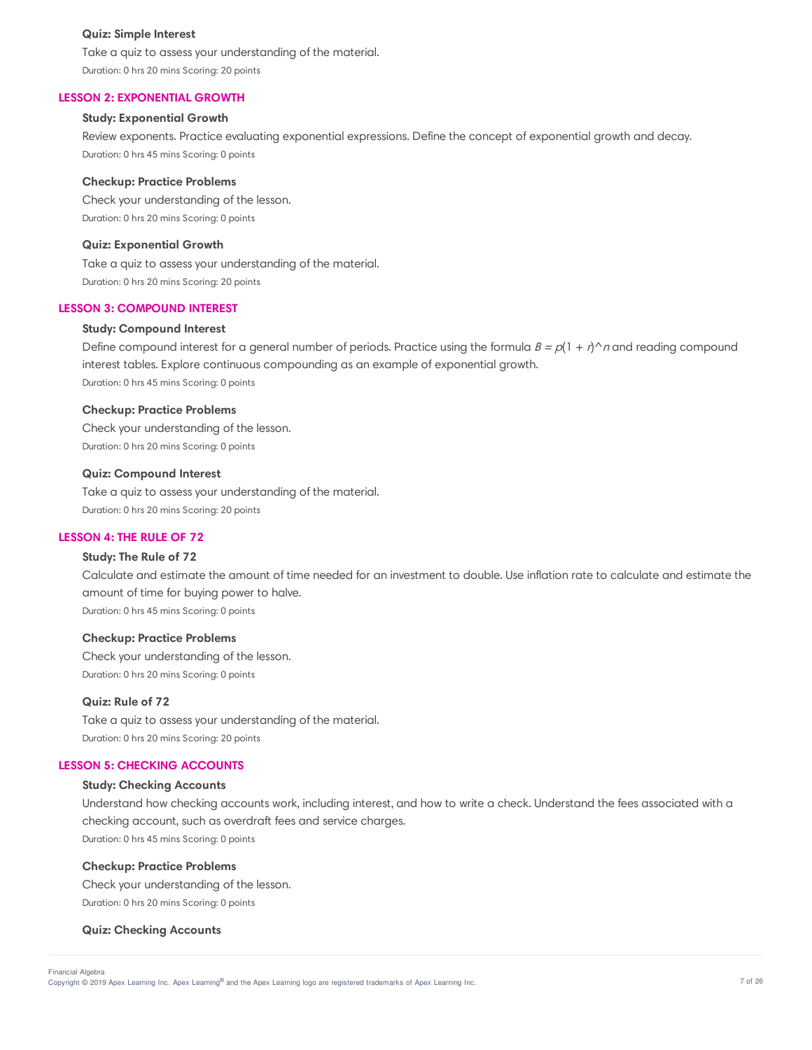#### **Quiz: Simple Interest**

Take a quiz to assess your understanding of the material. Duration: 0 hrs 20 mins Scoring: 20 points

### **LESSON 2: EXPONENTIAL GROWTH**

## **Study: Exponential Growth**

Review exponents. Practice evaluating exponential expressions. Define the concept of exponential growth and decay. Duration: 0 hrs 45 mins Scoring: 0 points

#### **Checkup: Practice Problems**

Check your understanding of the lesson. Duration: 0 hrs 20 mins Scoring: 0 points

#### **Quiz: Exponential Growth**

Take a quiz to assess your understanding of the material. Duration: 0 hrs 20 mins Scoring: 20 points

## **LESSON 3: COMPOUND INTEREST**

### **Study: Compound Interest**

Define compound interest for a general number of periods. Practice using the formula  $B = p(1 + r)^n$  and reading compound interest tables. Explore continuous compounding as an example of exponential growth. Duration: 0 hrs 45 mins Scoring: 0 points

### **Checkup: Practice Problems**

Check your understanding of the lesson. Duration: 0 hrs 20 mins Scoring: 0 points

#### **Quiz: Compound Interest**

Take a quiz to assess your understanding of the material. Duration: 0 hrs 20 mins Scoring: 20 points

## **LESSON 4: THE RULE OF 72**

## **Study: The Rule of 72**

Calculate and estimate the amount of time needed for an investment to double. Use inflation rate to calculate and estimate the amount of time for buying power to halve. Duration: 0 hrs 45 mins Scoring: 0 points

#### **Checkup: Practice Problems**

Check your understanding of the lesson. Duration: 0 hrs 20 mins Scoring: 0 points

# **Quiz: Rule of 72**

Take a quiz to assess your understanding of the material. Duration: 0 hrs 20 mins Scoring: 20 points

# **LESSON 5: CHECKING ACCOUNTS**

## **Study: Checking Accounts**

Understand how checking accounts work, including interest, and how to write a check. Understand the fees associated with a checking account, such as overdraft fees and service charges. Duration: 0 hrs 45 mins Scoring: 0 points

#### **Checkup: Practice Problems**

Check your understanding of the lesson. Duration: 0 hrs 20 mins Scoring: 0 points

#### **Quiz: Checking Accounts**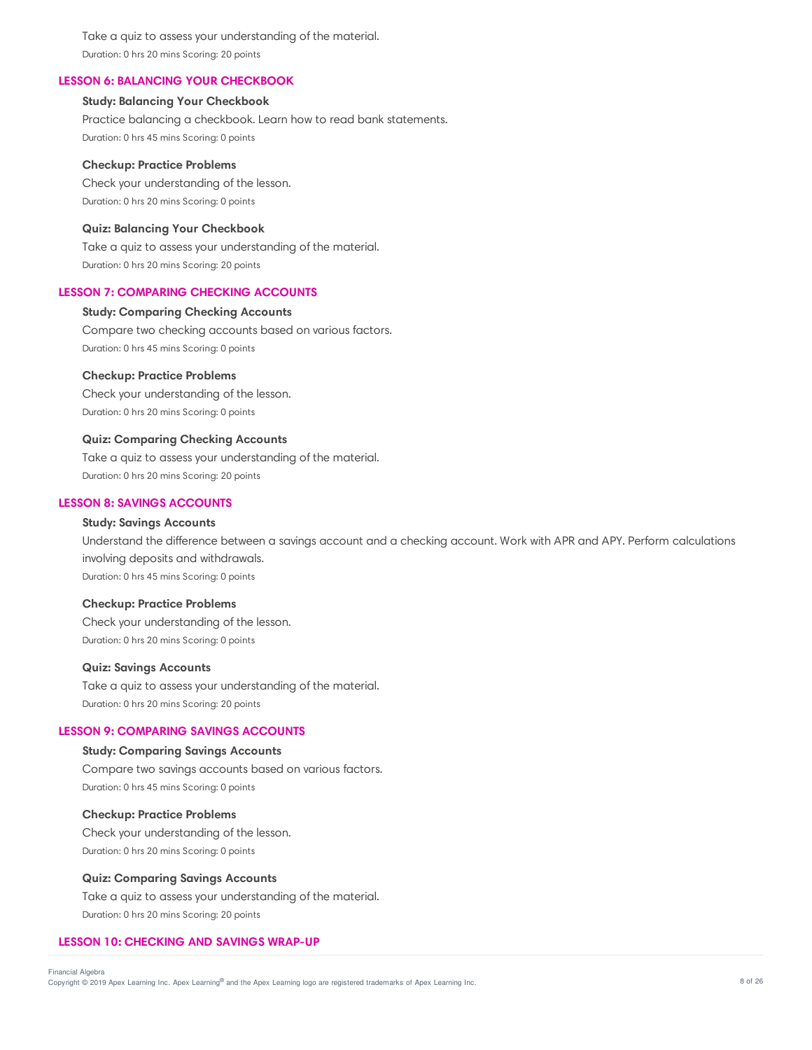Take a quiz to assess your understanding of the material. Duration: 0 hrs 20 mins Scoring: 20 points

# **LESSON 6: BALANCING YOUR CHECKBOOK**

## **Study: Balancing Your Checkbook**

Practice balancing a checkbook. Learn how to read bank statements. Duration: 0 hrs 45 mins Scoring: 0 points

#### **Checkup: Practice Problems**

Check your understanding of the lesson. Duration: 0 hrs 20 mins Scoring: 0 points

# **Quiz: Balancing Your Checkbook**

Take a quiz to assess your understanding of the material. Duration: 0 hrs 20 mins Scoring: 20 points

# **LESSON 7: COMPARING CHECKING ACCOUNTS**

## **Study: Comparing Checking Accounts**

Compare two checking accounts based on various factors. Duration: 0 hrs 45 mins Scoring: 0 points

## **Checkup: Practice Problems**

Check your understanding of the lesson. Duration: 0 hrs 20 mins Scoring: 0 points

#### **Quiz: Comparing Checking Accounts**

Take a quiz to assess your understanding of the material. Duration: 0 hrs 20 mins Scoring: 20 points

### **LESSON 8: SAVINGS ACCOUNTS**

# **Study: Savings Accounts**

Understand the difference between a savings account and a checking account. Work with APR and APY. Perform calculations involving deposits and withdrawals. Duration: 0 hrs 45 mins Scoring: 0 points

#### **Checkup: Practice Problems**

Check your understanding of the lesson. Duration: 0 hrs 20 mins Scoring: 0 points

#### **Quiz: Savings Accounts**

Take a quiz to assess your understanding of the material. Duration: 0 hrs 20 mins Scoring: 20 points

#### **LESSON 9: COMPARING SAVINGS ACCOUNTS**

## **Study: Comparing Savings Accounts**

Compare two savings accounts based on various factors. Duration: 0 hrs 45 mins Scoring: 0 points

#### **Checkup: Practice Problems**

Check your understanding of the lesson. Duration: 0 hrs 20 mins Scoring: 0 points

#### **Quiz: Comparing Savings Accounts**

Take a quiz to assess your understanding of the material. Duration: 0 hrs 20 mins Scoring: 20 points

#### **LESSON 10: CHECKING AND SAVINGS WRAP-UP**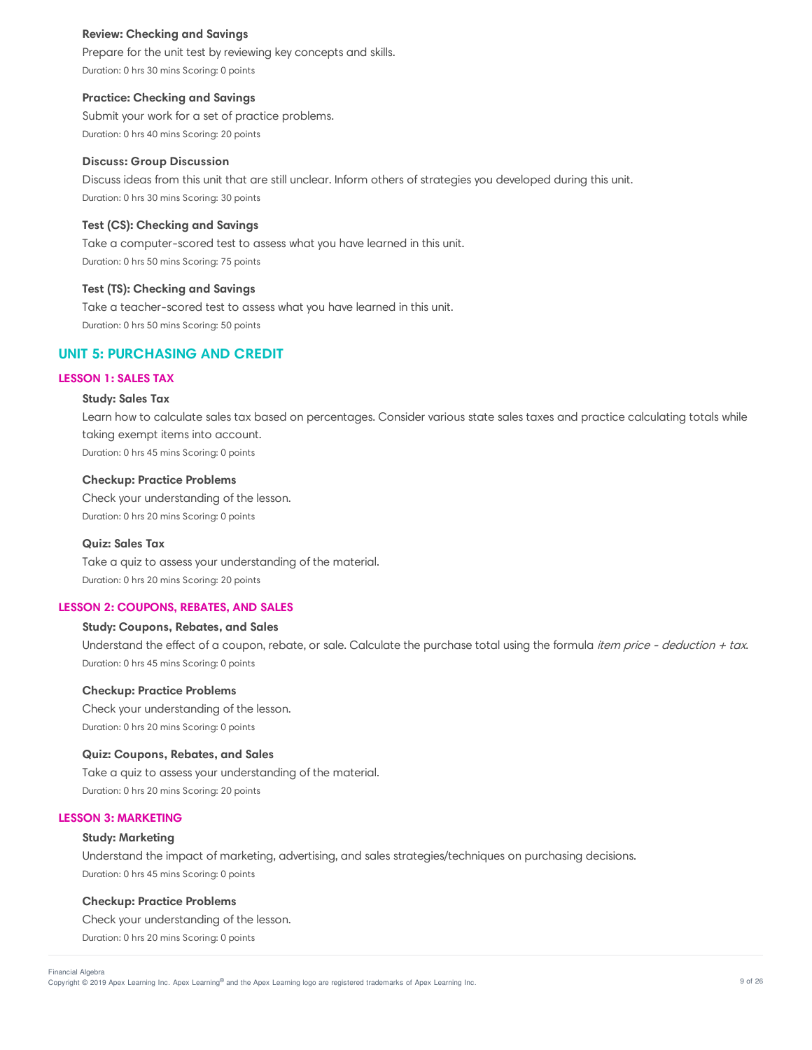## **Review: Checking and Savings**

Prepare for the unit test by reviewing key concepts and skills. Duration: 0 hrs 30 mins Scoring: 0 points

### **Practice: Checking and Savings**

Submit your work for a set of practice problems. Duration: 0 hrs 40 mins Scoring: 20 points

### **Discuss: Group Discussion**

Discuss ideas from this unit that are still unclear. Inform others of strategies you developed during this unit. Duration: 0 hrs 30 mins Scoring: 30 points

# **Test (CS): Checking and Savings**

Take a computer-scored test to assess what you have learned in this unit. Duration: 0 hrs 50 mins Scoring: 75 points

# **Test (TS): Checking and Savings**

Take a teacher-scored test to assess what you have learned in this unit. Duration: 0 hrs 50 mins Scoring: 50 points

# **UNIT 5: PURCHASING AND CREDIT**

# **LESSON 1: SALES TAX**

#### **Study: Sales Tax**

Learn how to calculate sales tax based on percentages. Consider various state sales taxes and practice calculating totals while taking exempt items into account. Duration: 0 hrs 45 mins Scoring: 0 points

#### **Checkup: Practice Problems**

Check your understanding of the lesson. Duration: 0 hrs 20 mins Scoring: 0 points

## **Quiz: Sales Tax**

Take a quiz to assess your understanding of the material. Duration: 0 hrs 20 mins Scoring: 20 points

### **LESSON 2: COUPONS, REBATES, AND SALES**

## **Study: Coupons, Rebates, and Sales**

Understand the effect of a coupon, rebate, or sale. Calculate the purchase total using the formula item price - deduction + tax. Duration: 0 hrs 45 mins Scoring: 0 points

#### **Checkup: Practice Problems**

Check your understanding of the lesson. Duration: 0 hrs 20 mins Scoring: 0 points

#### **Quiz: Coupons, Rebates, and Sales**

Take a quiz to assess your understanding of the material. Duration: 0 hrs 20 mins Scoring: 20 points

# **LESSON 3: MARKETING**

## **Study: Marketing**

Understand the impact of marketing, advertising, and sales strategies/techniques on purchasing decisions. Duration: 0 hrs 45 mins Scoring: 0 points

#### **Checkup: Practice Problems**

Check your understanding of the lesson.

Duration: 0 hrs 20 mins Scoring: 0 points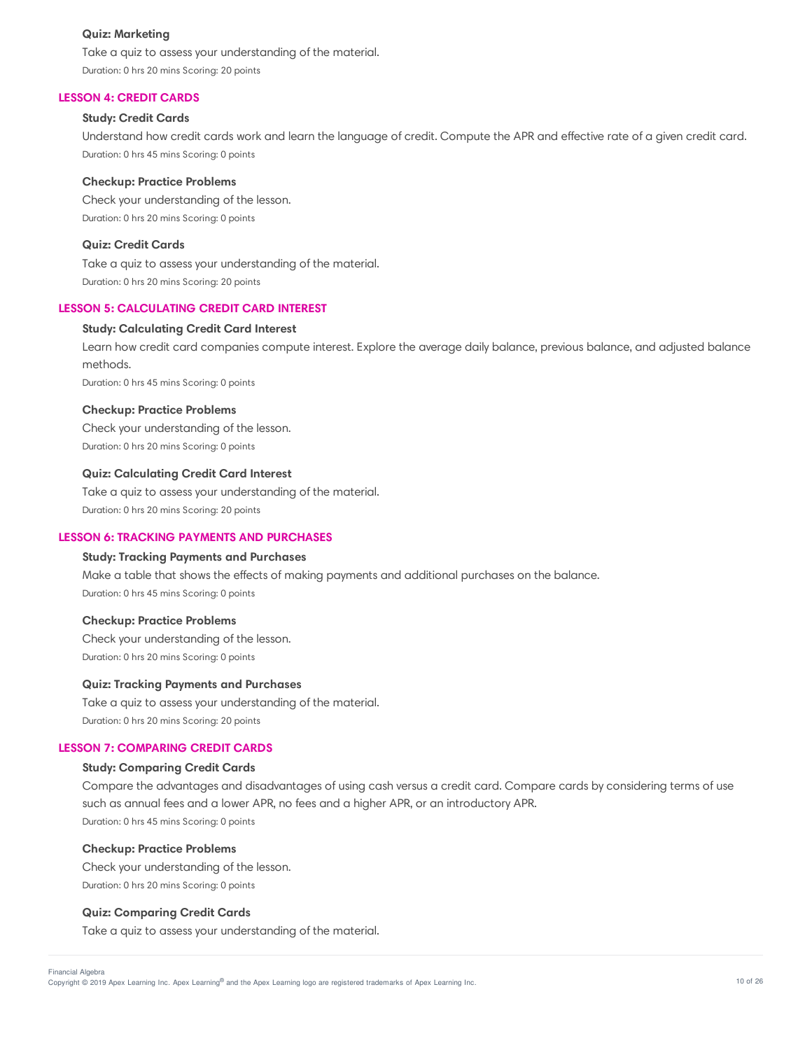## **Quiz: Marketing**

Take a quiz to assess your understanding of the material. Duration: 0 hrs 20 mins Scoring: 20 points

## **LESSON 4: CREDIT CARDS**

## **Study: Credit Cards**

Understand how credit cards work and learn the language of credit. Compute the APR and effective rate of a given credit card. Duration: 0 hrs 45 mins Scoring: 0 points

#### **Checkup: Practice Problems**

Check your understanding of the lesson. Duration: 0 hrs 20 mins Scoring: 0 points

## **Quiz: Credit Cards**

Take a quiz to assess your understanding of the material. Duration: 0 hrs 20 mins Scoring: 20 points

# **LESSON 5: CALCULATING CREDIT CARD INTEREST**

## **Study: Calculating Credit Card Interest**

Learn how credit card companies compute interest. Explore the average daily balance, previous balance, and adjusted balance methods.

Duration: 0 hrs 45 mins Scoring: 0 points

## **Checkup: Practice Problems**

Check your understanding of the lesson. Duration: 0 hrs 20 mins Scoring: 0 points

## **Quiz: Calculating Credit Card Interest**

Take a quiz to assess your understanding of the material. Duration: 0 hrs 20 mins Scoring: 20 points

#### **LESSON 6: TRACKING PAYMENTS AND PURCHASES**

## **Study: Tracking Payments and Purchases**

Make a table that shows the effects of making payments and additional purchases on the balance. Duration: 0 hrs 45 mins Scoring: 0 points

## **Checkup: Practice Problems**

Check your understanding of the lesson. Duration: 0 hrs 20 mins Scoring: 0 points

#### **Quiz: Tracking Payments and Purchases**

Take a quiz to assess your understanding of the material. Duration: 0 hrs 20 mins Scoring: 20 points

#### **LESSON 7: COMPARING CREDIT CARDS**

## **Study: Comparing Credit Cards**

Compare the advantages and disadvantages of using cash versus a credit card. Compare cards by considering terms of use such as annual fees and a lower APR, no fees and a higher APR, or an introductory APR. Duration: 0 hrs 45 mins Scoring: 0 points

#### **Checkup: Practice Problems**

Check your understanding of the lesson. Duration: 0 hrs 20 mins Scoring: 0 points

#### **Quiz: Comparing Credit Cards**

Take a quiz to assess your understanding of the material.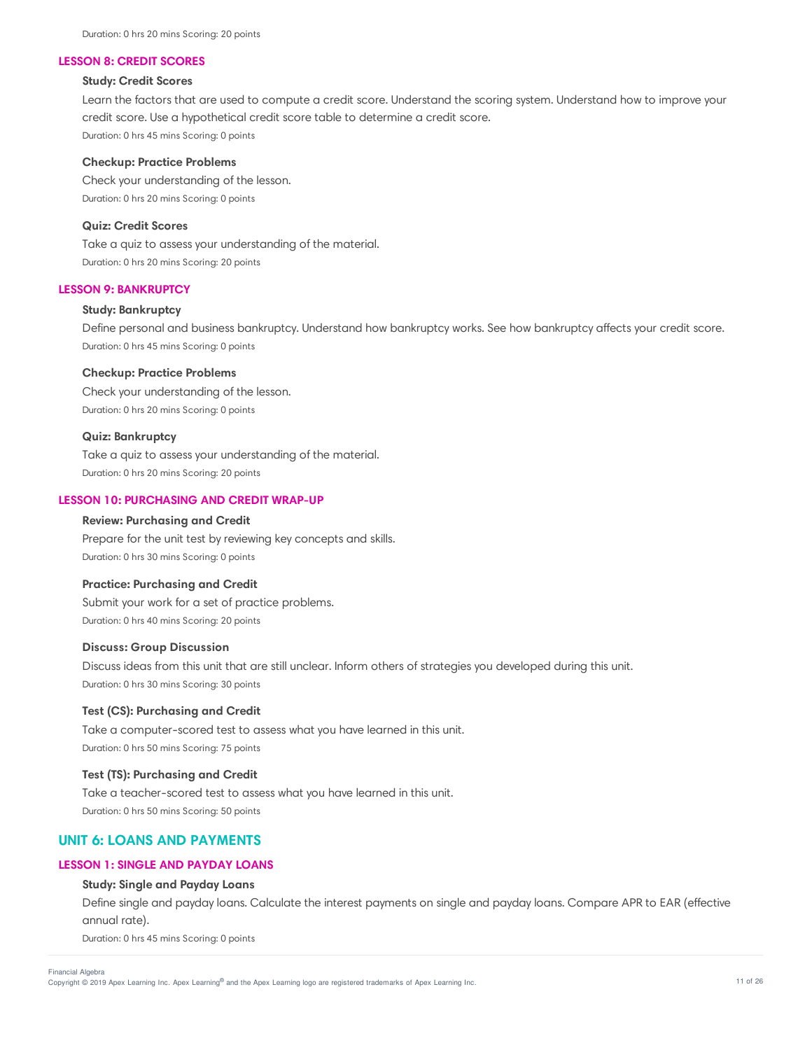#### **LESSON 8: CREDIT SCORES**

#### **Study: Credit Scores**

Learn the factors that are used to compute a credit score. Understand the scoring system. Understand how to improve your credit score. Use a hypothetical credit score table to determine a credit score. Duration: 0 hrs 45 mins Scoring: 0 points

#### **Checkup: Practice Problems**

Check your understanding of the lesson. Duration: 0 hrs 20 mins Scoring: 0 points

# **Quiz: Credit Scores**

Take a quiz to assess your understanding of the material. Duration: 0 hrs 20 mins Scoring: 20 points

# **LESSON 9: BANKRUPTCY**

# **Study: Bankruptcy**

Define personal and business bankruptcy. Understand how bankruptcy works. See how bankruptcy affects your credit score. Duration: 0 hrs 45 mins Scoring: 0 points

#### **Checkup: Practice Problems**

Check your understanding of the lesson. Duration: 0 hrs 20 mins Scoring: 0 points

## **Quiz: Bankruptcy**

Take a quiz to assess your understanding of the material. Duration: 0 hrs 20 mins Scoring: 20 points

#### **LESSON 10: PURCHASING AND CREDIT WRAP-UP**

## **Review: Purchasing and Credit**

Prepare for the unit test by reviewing key concepts and skills. Duration: 0 hrs 30 mins Scoring: 0 points

# **Practice: Purchasing and Credit**

Submit your work for a set of practice problems. Duration: 0 hrs 40 mins Scoring: 20 points

## **Discuss: Group Discussion**

Discuss ideas from this unit that are still unclear. Inform others of strategies you developed during this unit. Duration: 0 hrs 30 mins Scoring: 30 points

# **Test (CS): Purchasing and Credit**

Take a computer-scored test to assess what you have learned in this unit. Duration: 0 hrs 50 mins Scoring: 75 points

### **Test (TS): Purchasing and Credit**

Take a teacher-scored test to assess what you have learned in this unit. Duration: 0 hrs 50 mins Scoring: 50 points

# **UNIT 6: LOANS AND PAYMENTS**

#### **LESSON 1: SINGLE AND PAYDAY LOANS**

# **Study: Single and Payday Loans**

Define single and payday loans. Calculate the interest payments on single and payday loans. Compare APR to EAR (effective annual rate).

Duration: 0 hrs 45 mins Scoring: 0 points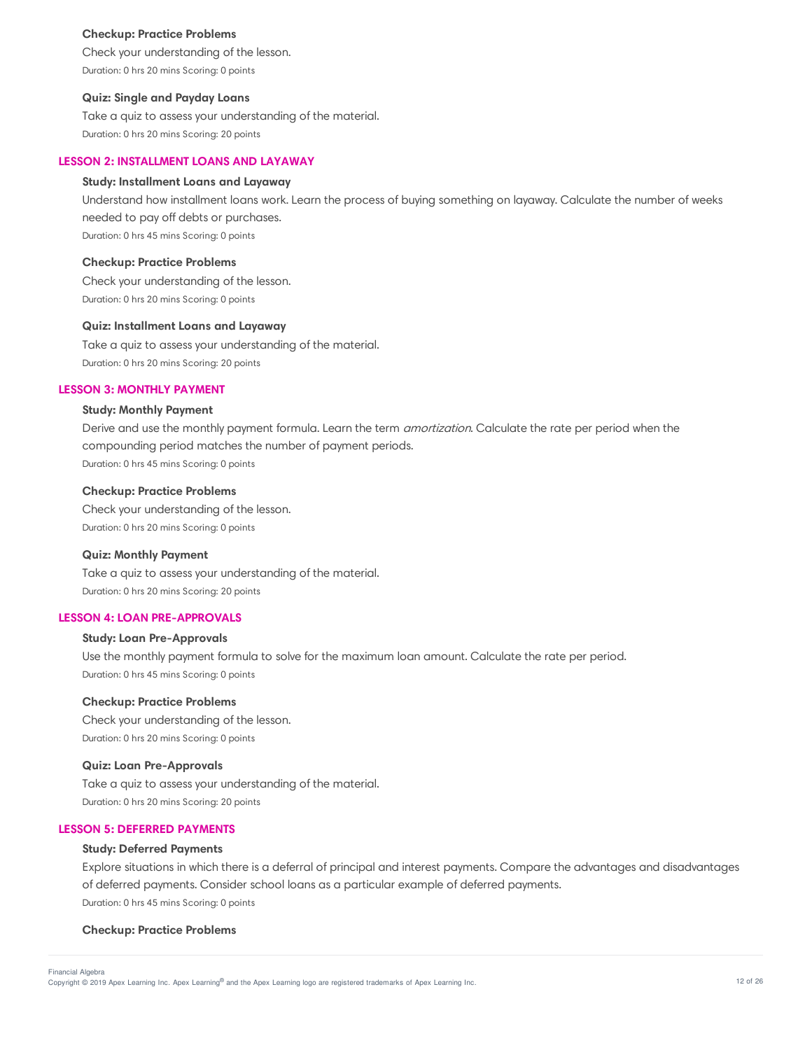#### **Checkup: Practice Problems**

Check your understanding of the lesson. Duration: 0 hrs 20 mins Scoring: 0 points

## **Quiz: Single and Payday Loans**

Take a quiz to assess your understanding of the material. Duration: 0 hrs 20 mins Scoring: 20 points

#### **LESSON 2: INSTALLMENT LOANS AND LAYAWAY**

## **Study: Installment Loans and Layaway**

Understand how installment loans work. Learn the process of buying something on layaway. Calculate the number of weeks needed to pay off debts or purchases. Duration: 0 hrs 45 mins Scoring: 0 points

### **Checkup: Practice Problems**

Check your understanding of the lesson. Duration: 0 hrs 20 mins Scoring: 0 points

# **Quiz: Installment Loans and Layaway**

Take a quiz to assess your understanding of the material. Duration: 0 hrs 20 mins Scoring: 20 points

## **LESSON 3: MONTHLY PAYMENT**

# **Study: Monthly Payment**

Derive and use the monthly payment formula. Learn the term *amortization*. Calculate the rate per period when the compounding period matches the number of payment periods. Duration: 0 hrs 45 mins Scoring: 0 points

#### **Checkup: Practice Problems**

Check your understanding of the lesson. Duration: 0 hrs 20 mins Scoring: 0 points

#### **Quiz: Monthly Payment**

Take a quiz to assess your understanding of the material. Duration: 0 hrs 20 mins Scoring: 20 points

## **LESSON 4: LOAN PRE-APPROVALS**

## **Study: Loan Pre-Approvals**

Use the monthly payment formula to solve for the maximum loan amount. Calculate the rate per period. Duration: 0 hrs 45 mins Scoring: 0 points

#### **Checkup: Practice Problems**

Check your understanding of the lesson. Duration: 0 hrs 20 mins Scoring: 0 points

## **Quiz: Loan Pre-Approvals**

Take a quiz to assess your understanding of the material.

Duration: 0 hrs 20 mins Scoring: 20 points

## **LESSON 5: DEFERRED PAYMENTS**

#### **Study: Deferred Payments**

Explore situations in which there is a deferral of principal and interest payments. Compare the advantages and disadvantages of deferred payments. Consider school loans as a particular example of deferred payments. Duration: 0 hrs 45 mins Scoring: 0 points

#### **Checkup: Practice Problems**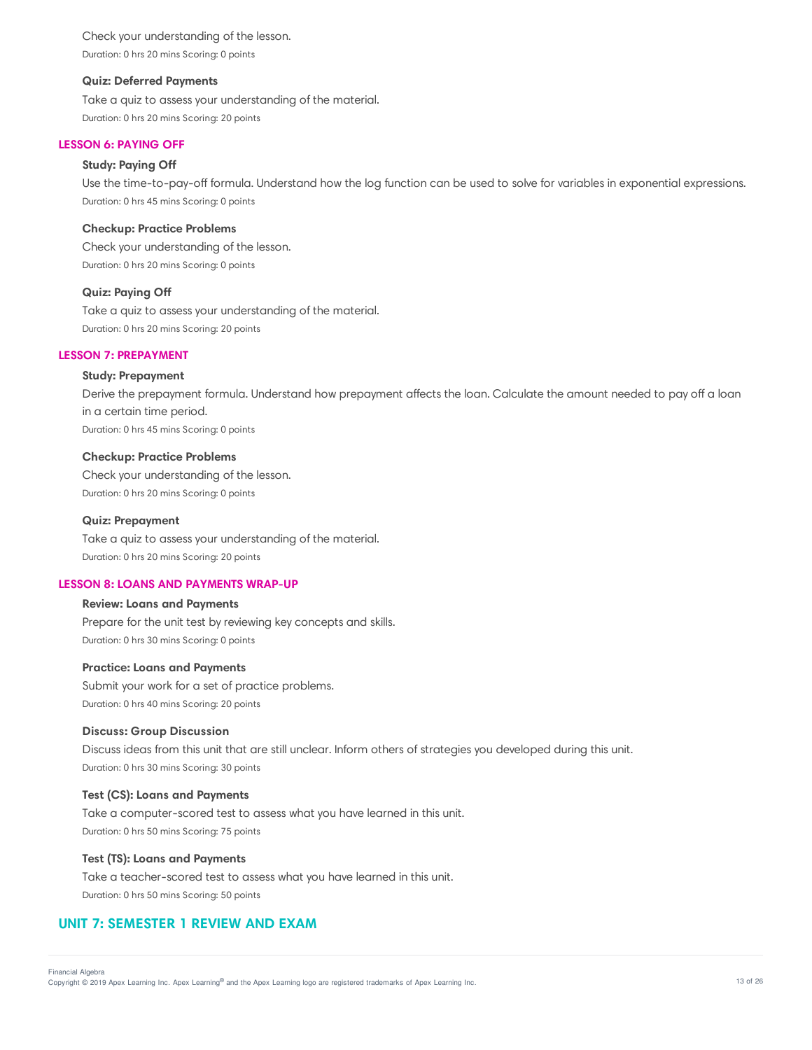Check your understanding of the lesson. Duration: 0 hrs 20 mins Scoring: 0 points

### **Quiz: Deferred Payments**

Take a quiz to assess your understanding of the material. Duration: 0 hrs 20 mins Scoring: 20 points

# **LESSON 6: PAYING OFF**

# **Study: Paying Off**

Use the time-to-pay-off formula. Understand how the log function can be used to solve for variables in exponential expressions. Duration: 0 hrs 45 mins Scoring: 0 points

### **Checkup: Practice Problems**

Check your understanding of the lesson. Duration: 0 hrs 20 mins Scoring: 0 points

## **Quiz: Paying Off**

Take a quiz to assess your understanding of the material. Duration: 0 hrs 20 mins Scoring: 20 points

## **LESSON 7: PREPAYMENT**

## **Study: Prepayment**

Derive the prepayment formula. Understand how prepayment affects the loan. Calculate the amount needed to pay off a loan in a certain time period. Duration: 0 hrs 45 mins Scoring: 0 points

#### **Checkup: Practice Problems**

Check your understanding of the lesson. Duration: 0 hrs 20 mins Scoring: 0 points

#### **Quiz: Prepayment**

Take a quiz to assess your understanding of the material. Duration: 0 hrs 20 mins Scoring: 20 points

#### **LESSON 8: LOANS AND PAYMENTS WRAP-UP**

## **Review: Loans and Payments**

Prepare for the unit test by reviewing key concepts and skills. Duration: 0 hrs 30 mins Scoring: 0 points

#### **Practice: Loans and Payments**

Submit your work for a set of practice problems. Duration: 0 hrs 40 mins Scoring: 20 points

#### **Discuss: Group Discussion**

Discuss ideas from this unit that are still unclear. Inform others of strategies you developed during this unit. Duration: 0 hrs 30 mins Scoring: 30 points

#### **Test (CS): Loans and Payments**

Take a computer-scored test to assess what you have learned in this unit. Duration: 0 hrs 50 mins Scoring: 75 points

#### **Test (TS): Loans and Payments**

Take a teacher-scored test to assess what you have learned in this unit. Duration: 0 hrs 50 mins Scoring: 50 points

# **UNIT 7: SEMESTER 1 REVIEW AND EXAM**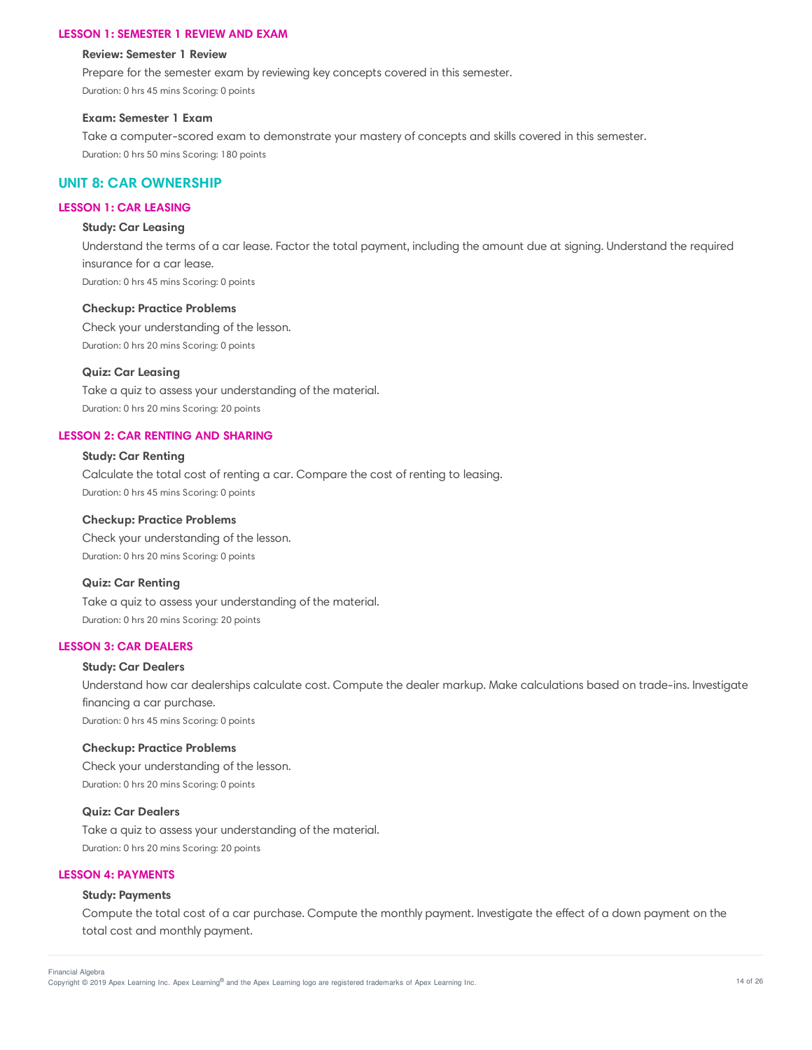#### **LESSON 1: SEMESTER 1 REVIEW AND EXAM**

#### **Review: Semester 1 Review**

Prepare for the semester exam by reviewing key concepts covered in this semester.

Duration: 0 hrs 45 mins Scoring: 0 points

#### **Exam: Semester 1 Exam**

Take a computer-scored exam to demonstrate your mastery of concepts and skills covered in this semester. Duration: 0 hrs 50 mins Scoring: 180 points

# **UNIT 8: CAR OWNERSHIP**

# **LESSON 1: CAR LEASING**

# **Study: Car Leasing**

Understand the terms of a car lease. Factor the total payment, including the amount due at signing. Understand the required insurance for a car lease. Duration: 0 hrs 45 mins Scoring: 0 points

## **Checkup: Practice Problems**

Check your understanding of the lesson. Duration: 0 hrs 20 mins Scoring: 0 points

## **Quiz: Car Leasing**

Take a quiz to assess your understanding of the material. Duration: 0 hrs 20 mins Scoring: 20 points

# **LESSON 2: CAR RENTING AND SHARING**

## **Study: Car Renting**

Calculate the total cost of renting a car. Compare the cost of renting to leasing. Duration: 0 hrs 45 mins Scoring: 0 points

#### **Checkup: Practice Problems**

Check your understanding of the lesson. Duration: 0 hrs 20 mins Scoring: 0 points

#### **Quiz: Car Renting**

Take a quiz to assess your understanding of the material. Duration: 0 hrs 20 mins Scoring: 20 points

## **LESSON 3: CAR DEALERS**

## **Study: Car Dealers**

Understand how car dealerships calculate cost. Compute the dealer markup. Make calculations based on trade-ins. Investigate financing a car purchase. Duration: 0 hrs 45 mins Scoring: 0 points

#### **Checkup: Practice Problems**

Check your understanding of the lesson. Duration: 0 hrs 20 mins Scoring: 0 points

## **Quiz: Car Dealers**

Take a quiz to assess your understanding of the material. Duration: 0 hrs 20 mins Scoring: 20 points

#### **LESSON 4: PAYMENTS**

## **Study: Payments**

Compute the total cost of a car purchase. Compute the monthly payment. Investigate the effect of a down payment on the total cost and monthly payment.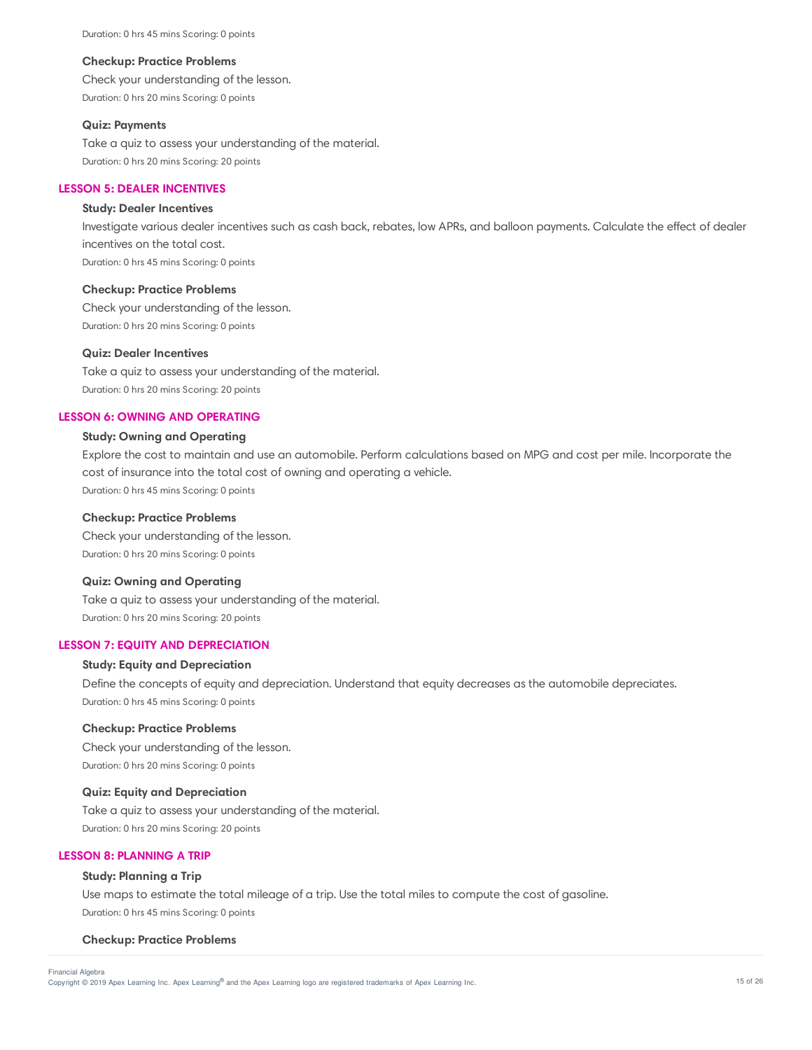Duration: 0 hrs 45 mins Scoring: 0 points

#### **Checkup: Practice Problems**

Check your understanding of the lesson. Duration: 0 hrs 20 mins Scoring: 0 points

#### **Quiz: Payments**

Take a quiz to assess your understanding of the material. Duration: 0 hrs 20 mins Scoring: 20 points

#### **LESSON 5: DEALER INCENTIVES**

#### **Study: Dealer Incentives**

Investigate various dealer incentives such as cash back, rebates, low APRs, and balloon payments. Calculate the effect of dealer incentives on the total cost. Duration: 0 hrs 45 mins Scoring: 0 points

#### **Checkup: Practice Problems**

Check your understanding of the lesson. Duration: 0 hrs 20 mins Scoring: 0 points

#### **Quiz: Dealer Incentives**

Take a quiz to assess your understanding of the material. Duration: 0 hrs 20 mins Scoring: 20 points

## **LESSON 6: OWNING AND OPERATING**

# **Study: Owning and Operating**

Explore the cost to maintain and use an automobile. Perform calculations based on MPG and cost per mile. Incorporate the cost of insurance into the total cost of owning and operating a vehicle. Duration: 0 hrs 45 mins Scoring: 0 points

#### **Checkup: Practice Problems**

Check your understanding of the lesson. Duration: 0 hrs 20 mins Scoring: 0 points

# **Quiz: Owning and Operating**

Take a quiz to assess your understanding of the material. Duration: 0 hrs 20 mins Scoring: 20 points

# **LESSON 7: EQUITY AND DEPRECIATION**

#### **Study: Equity and Depreciation**

Define the concepts of equity and depreciation. Understand that equity decreases as the automobile depreciates. Duration: 0 hrs 45 mins Scoring: 0 points

## **Checkup: Practice Problems**

Check your understanding of the lesson. Duration: 0 hrs 20 mins Scoring: 0 points

#### **Quiz: Equity and Depreciation**

Take a quiz to assess your understanding of the material. Duration: 0 hrs 20 mins Scoring: 20 points

# **LESSON 8: PLANNING A TRIP**

#### **Study: Planning a Trip**

Use maps to estimate the total mileage of a trip. Use the total miles to compute the cost of gasoline. Duration: 0 hrs 45 mins Scoring: 0 points

#### **Checkup: Practice Problems**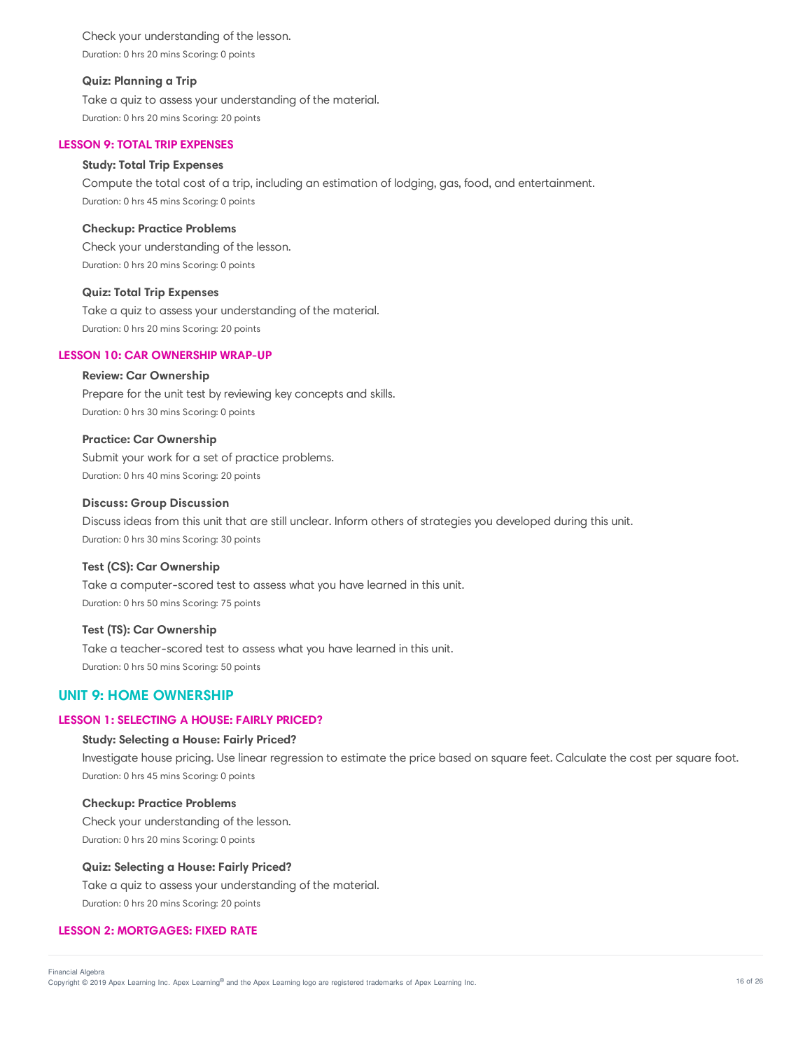Check your understanding of the lesson. Duration: 0 hrs 20 mins Scoring: 0 points

## **Quiz: Planning a Trip**

Take a quiz to assess your understanding of the material. Duration: 0 hrs 20 mins Scoring: 20 points

# **LESSON 9: TOTAL TRIP EXPENSES**

# **Study: Total Trip Expenses**

Compute the total cost of a trip, including an estimation of lodging, gas, food, and entertainment. Duration: 0 hrs 45 mins Scoring: 0 points

## **Checkup: Practice Problems**

Check your understanding of the lesson. Duration: 0 hrs 20 mins Scoring: 0 points

## **Quiz: Total Trip Expenses**

Take a quiz to assess your understanding of the material. Duration: 0 hrs 20 mins Scoring: 20 points

### **LESSON 10: CAR OWNERSHIP WRAP-UP**

# **Review: Car Ownership**

Prepare for the unit test by reviewing key concepts and skills. Duration: 0 hrs 30 mins Scoring: 0 points

# **Practice: Car Ownership**

Submit your work for a set of practice problems. Duration: 0 hrs 40 mins Scoring: 20 points

## **Discuss: Group Discussion**

Discuss ideas from this unit that are still unclear. Inform others of strategies you developed during this unit. Duration: 0 hrs 30 mins Scoring: 30 points

# **Test (CS): Car Ownership**

Take a computer-scored test to assess what you have learned in this unit. Duration: 0 hrs 50 mins Scoring: 75 points

## **Test (TS): Car Ownership**

Take a teacher-scored test to assess what you have learned in this unit. Duration: 0 hrs 50 mins Scoring: 50 points

# **UNIT 9: HOME OWNERSHIP**

#### **LESSON 1: SELECTING A HOUSE: FAIRLY PRICED?**

### **Study: Selecting a House: Fairly Priced?**

Investigate house pricing. Use linear regression to estimate the price based on square feet. Calculate the cost per square foot. Duration: 0 hrs 45 mins Scoring: 0 points

# **Checkup: Practice Problems**

Check your understanding of the lesson. Duration: 0 hrs 20 mins Scoring: 0 points

#### **Quiz: Selecting a House: Fairly Priced?**

Take a quiz to assess your understanding of the material. Duration: 0 hrs 20 mins Scoring: 20 points

# **LESSON 2: MORTGAGES: FIXED RATE**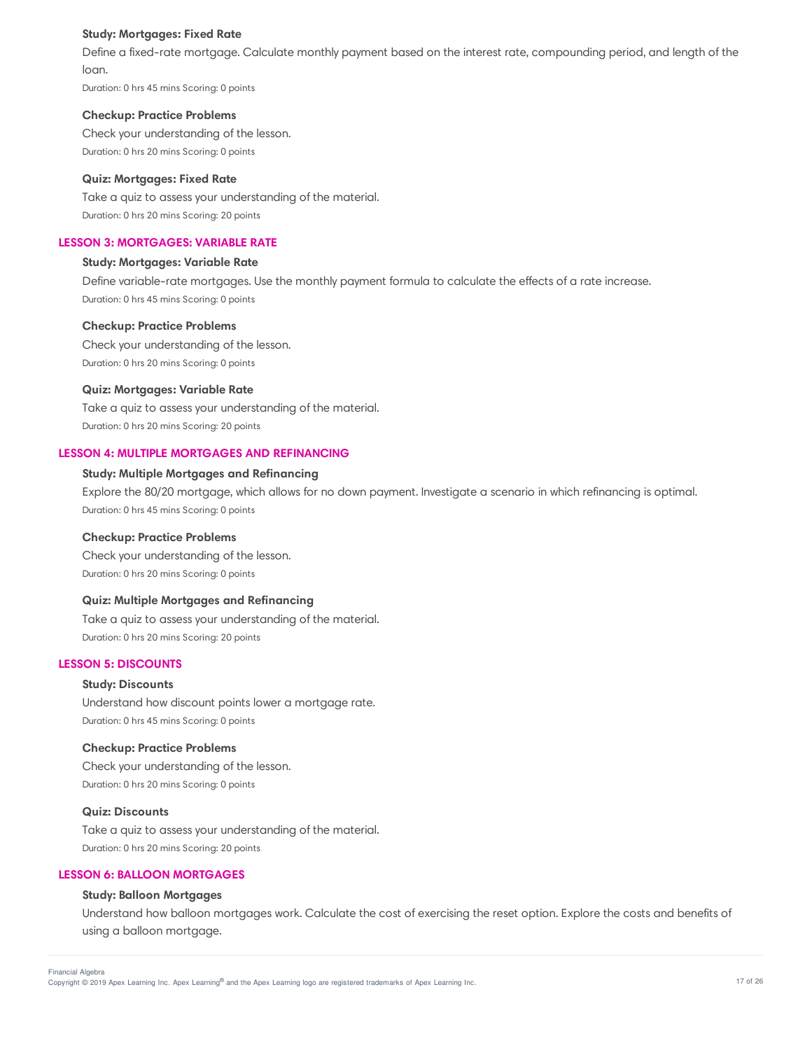## **Study: Mortgages: Fixed Rate**

Define a fixed-rate mortgage. Calculate monthly payment based on the interest rate, compounding period, and length of the loan.

Duration: 0 hrs 45 mins Scoring: 0 points

#### **Checkup: Practice Problems**

Check your understanding of the lesson. Duration: 0 hrs 20 mins Scoring: 0 points

#### **Quiz: Mortgages: Fixed Rate**

Take a quiz to assess your understanding of the material. Duration: 0 hrs 20 mins Scoring: 20 points

## **LESSON 3: MORTGAGES: VARIABLE RATE**

# **Study: Mortgages: Variable Rate**

Define variable-rate mortgages. Use the monthly payment formula to calculate the effects of a rate increase. Duration: 0 hrs 45 mins Scoring: 0 points

#### **Checkup: Practice Problems**

Check your understanding of the lesson. Duration: 0 hrs 20 mins Scoring: 0 points

#### **Quiz: Mortgages: Variable Rate**

Take a quiz to assess your understanding of the material. Duration: 0 hrs 20 mins Scoring: 20 points

# **LESSON 4: MULTIPLE MORTGAGES AND REFINANCING**

## **Study: Multiple Mortgages and Refinancing**

Explore the 80/20 mortgage, which allows for no down payment. Investigate a scenario in which refinancing is optimal. Duration: 0 hrs 45 mins Scoring: 0 points

#### **Checkup: Practice Problems**

Check your understanding of the lesson. Duration: 0 hrs 20 mins Scoring: 0 points

#### **Quiz: Multiple Mortgages and Refinancing**

Take a quiz to assess your understanding of the material. Duration: 0 hrs 20 mins Scoring: 20 points

# **LESSON 5: DISCOUNTS**

## **Study: Discounts**

Understand how discount points lower a mortgage rate. Duration: 0 hrs 45 mins Scoring: 0 points

#### **Checkup: Practice Problems**

Check your understanding of the lesson. Duration: 0 hrs 20 mins Scoring: 0 points

## **Quiz: Discounts**

Take a quiz to assess your understanding of the material. Duration: 0 hrs 20 mins Scoring: 20 points

## **LESSON 6: BALLOON MORTGAGES**

# **Study: Balloon Mortgages**

Understand how balloon mortgages work. Calculate the cost of exercising the reset option. Explore the costs and benefits of using a balloon mortgage.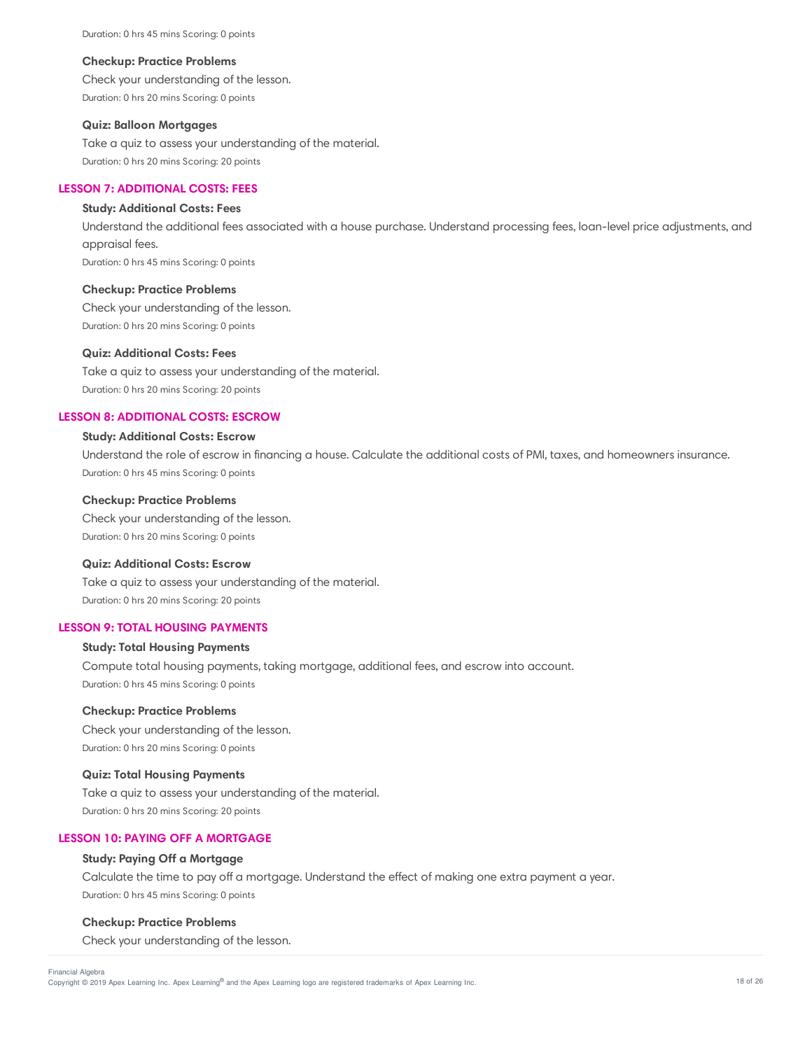Duration: 0 hrs 45 mins Scoring: 0 points

#### **Checkup: Practice Problems**

Check your understanding of the lesson. Duration: 0 hrs 20 mins Scoring: 0 points

#### **Quiz: Balloon Mortgages**

Take a quiz to assess your understanding of the material. Duration: 0 hrs 20 mins Scoring: 20 points

## **LESSON 7: ADDITIONAL COSTS: FEES**

#### **Study: Additional Costs: Fees**

Understand the additional fees associated with a house purchase. Understand processing fees, loan-level price adjustments, and appraisal fees.

Duration: 0 hrs 45 mins Scoring: 0 points

#### **Checkup: Practice Problems**

Check your understanding of the lesson. Duration: 0 hrs 20 mins Scoring: 0 points

#### **Quiz: Additional Costs: Fees**

Take a quiz to assess your understanding of the material. Duration: 0 hrs 20 mins Scoring: 20 points

## **LESSON 8: ADDITIONAL COSTS: ESCROW**

# **Study: Additional Costs: Escrow**

Understand the role of escrow in financing a house. Calculate the additional costs of PMI, taxes, and homeowners insurance. Duration: 0 hrs 45 mins Scoring: 0 points

#### **Checkup: Practice Problems**

Check your understanding of the lesson. Duration: 0 hrs 20 mins Scoring: 0 points

## **Quiz: Additional Costs: Escrow**

Take a quiz to assess your understanding of the material. Duration: 0 hrs 20 mins Scoring: 20 points

# **LESSON 9: TOTAL HOUSING PAYMENTS**

## **Study: Total Housing Payments**

Compute total housing payments, taking mortgage, additional fees, and escrow into account. Duration: 0 hrs 45 mins Scoring: 0 points

# **Checkup: Practice Problems**

Check your understanding of the lesson. Duration: 0 hrs 20 mins Scoring: 0 points

### **Quiz: Total Housing Payments**

Take a quiz to assess your understanding of the material. Duration: 0 hrs 20 mins Scoring: 20 points

# **LESSON 10: PAYING OFF A MORTGAGE**

#### **Study: Paying Off a Mortgage**

Calculate the time to pay off a mortgage. Understand the effect of making one extra payment a year. Duration: 0 hrs 45 mins Scoring: 0 points

### **Checkup: Practice Problems**

Check your understanding of the lesson.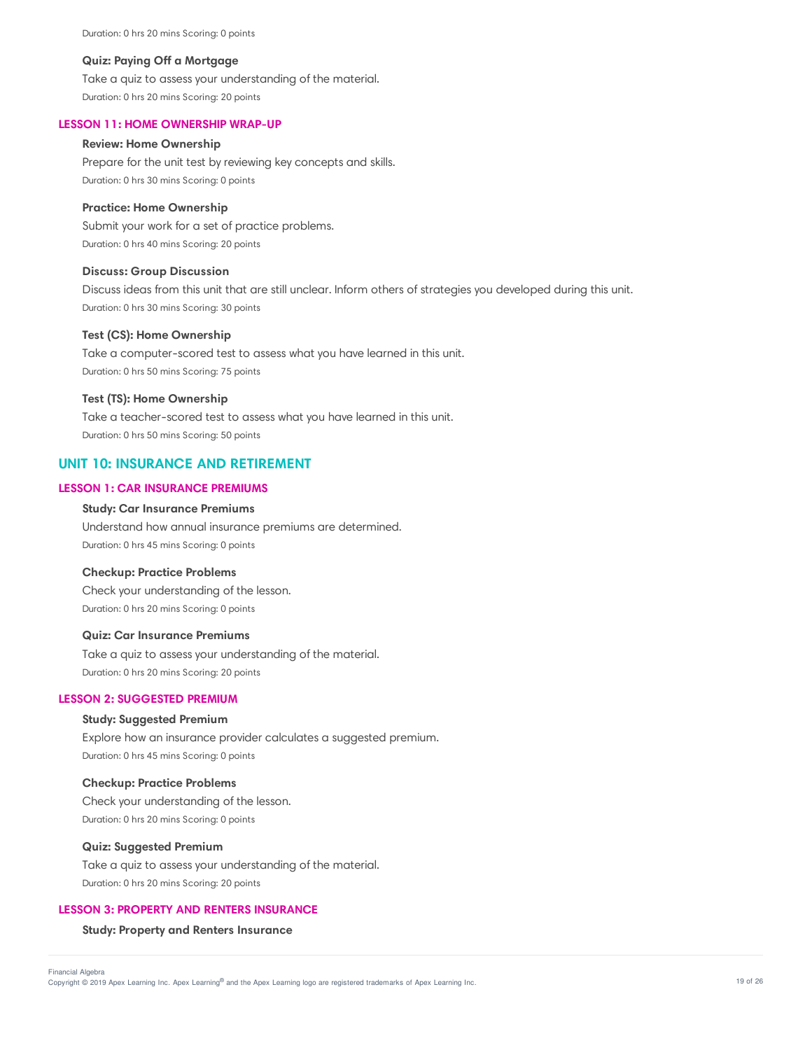Duration: 0 hrs 20 mins Scoring: 0 points

## **Quiz: Paying Off a Mortgage**

Take a quiz to assess your understanding of the material. Duration: 0 hrs 20 mins Scoring: 20 points

## **LESSON 11: HOME OWNERSHIP WRAP-UP**

#### **Review: Home Ownership**

Prepare for the unit test by reviewing key concepts and skills. Duration: 0 hrs 30 mins Scoring: 0 points

#### **Practice: Home Ownership**

Submit your work for a set of practice problems. Duration: 0 hrs 40 mins Scoring: 20 points

#### **Discuss: Group Discussion**

Discuss ideas from this unit that are still unclear. Inform others of strategies you developed during this unit. Duration: 0 hrs 30 mins Scoring: 30 points

## **Test (CS): Home Ownership**

Take a computer-scored test to assess what you have learned in this unit. Duration: 0 hrs 50 mins Scoring: 75 points

#### **Test (TS): Home Ownership**

Take a teacher-scored test to assess what you have learned in this unit. Duration: 0 hrs 50 mins Scoring: 50 points

# **UNIT 10: INSURANCE AND RETIREMENT**

# **LESSON 1: CAR INSURANCE PREMIUMS**

#### **Study: Car Insurance Premiums**

Understand how annual insurance premiums are determined. Duration: 0 hrs 45 mins Scoring: 0 points

#### **Checkup: Practice Problems**

Check your understanding of the lesson. Duration: 0 hrs 20 mins Scoring: 0 points

## **Quiz: Car Insurance Premiums**

Take a quiz to assess your understanding of the material. Duration: 0 hrs 20 mins Scoring: 20 points

# **LESSON 2: SUGGESTED PREMIUM**

# **Study: Suggested Premium**

Explore how an insurance provider calculates a suggested premium. Duration: 0 hrs 45 mins Scoring: 0 points

## **Checkup: Practice Problems**

Check your understanding of the lesson. Duration: 0 hrs 20 mins Scoring: 0 points

## **Quiz: Suggested Premium**

Take a quiz to assess your understanding of the material. Duration: 0 hrs 20 mins Scoring: 20 points

#### **LESSON 3: PROPERTY AND RENTERS INSURANCE**

#### **Study: Property and Renters Insurance**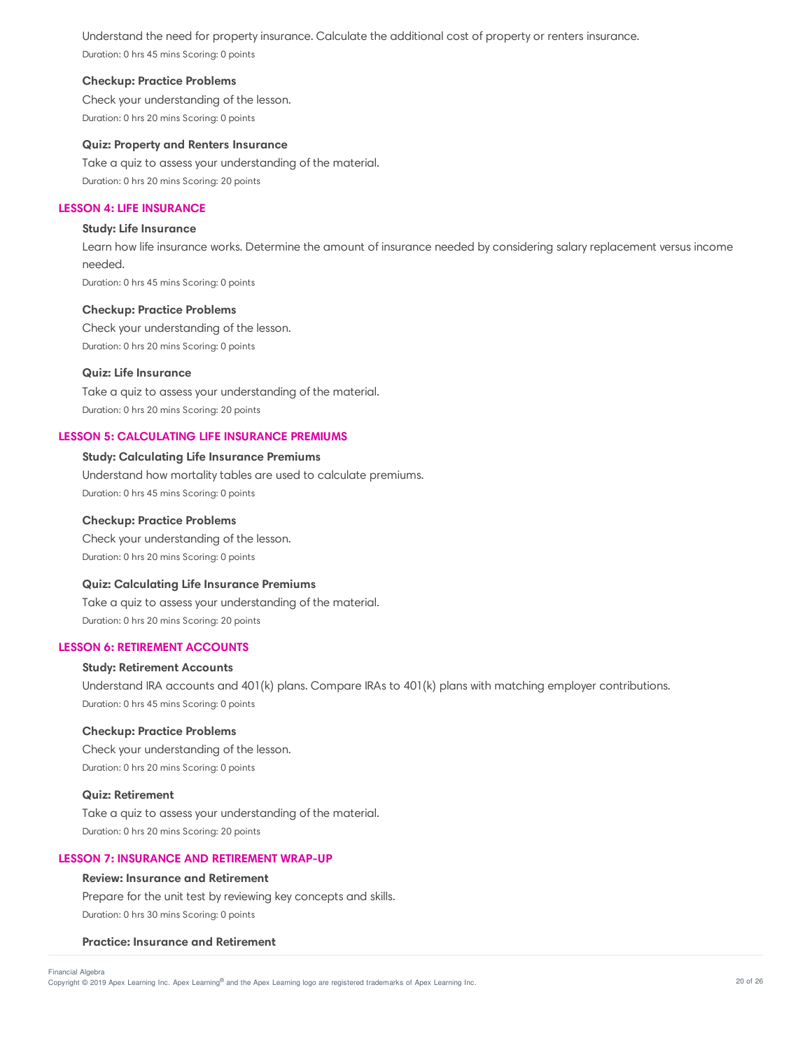Understand the need for property insurance. Calculate the additional cost of property or renters insurance. Duration: 0 hrs 45 mins Scoring: 0 points

## **Checkup: Practice Problems**

Check your understanding of the lesson. Duration: 0 hrs 20 mins Scoring: 0 points

#### **Quiz: Property and Renters Insurance**

Take a quiz to assess your understanding of the material. Duration: 0 hrs 20 mins Scoring: 20 points

### **LESSON 4: LIFE INSURANCE**

# **Study: Life Insurance**

Learn how life insurance works. Determine the amount of insurance needed by considering salary replacement versus income needed. Duration: 0 hrs 45 mins Scoring: 0 points

#### **Checkup: Practice Problems**

Check your understanding of the lesson. Duration: 0 hrs 20 mins Scoring: 0 points

# **Quiz: Life Insurance**

Take a quiz to assess your understanding of the material. Duration: 0 hrs 20 mins Scoring: 20 points

# **LESSON 5: CALCULATING LIFE INSURANCE PREMIUMS**

## **Study: Calculating Life Insurance Premiums**

Understand how mortality tables are used to calculate premiums. Duration: 0 hrs 45 mins Scoring: 0 points

#### **Checkup: Practice Problems**

Check your understanding of the lesson. Duration: 0 hrs 20 mins Scoring: 0 points

## **Quiz: Calculating Life Insurance Premiums**

Take a quiz to assess your understanding of the material. Duration: 0 hrs 20 mins Scoring: 20 points

#### **LESSON 6: RETIREMENT ACCOUNTS**

## **Study: Retirement Accounts**

Understand IRA accounts and 401(k) plans. Compare IRAs to 401(k) plans with matching employer contributions. Duration: 0 hrs 45 mins Scoring: 0 points

#### **Checkup: Practice Problems**

Check your understanding of the lesson. Duration: 0 hrs 20 mins Scoring: 0 points

## **Quiz: Retirement**

Take a quiz to assess your understanding of the material. Duration: 0 hrs 20 mins Scoring: 20 points

#### **LESSON 7: INSURANCE AND RETIREMENT WRAP-UP**

#### **Review: Insurance and Retirement**

Prepare for the unit test by reviewing key concepts and skills. Duration: 0 hrs 30 mins Scoring: 0 points

#### **Practice: Insurance and Retirement**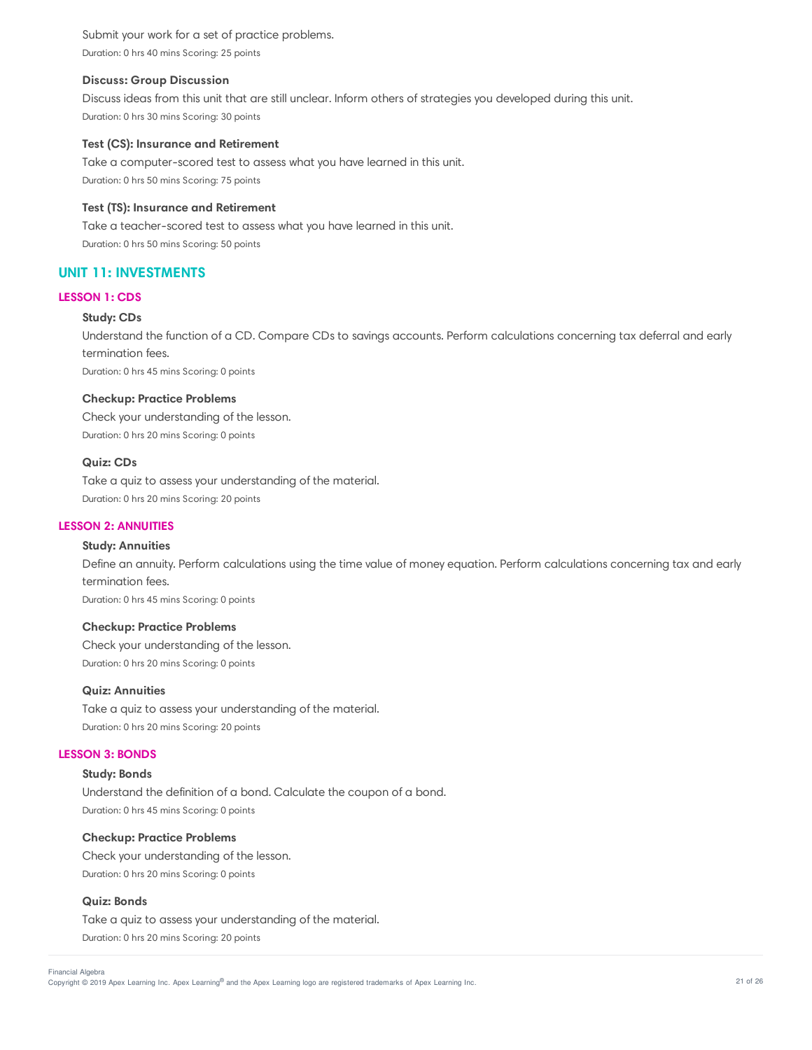Submit your work for a set of practice problems. Duration: 0 hrs 40 mins Scoring: 25 points

## **Discuss: Group Discussion**

Discuss ideas from this unit that are still unclear. Inform others of strategies you developed during this unit. Duration: 0 hrs 30 mins Scoring: 30 points

### **Test (CS): Insurance and Retirement**

Take a computer-scored test to assess what you have learned in this unit. Duration: 0 hrs 50 mins Scoring: 75 points

## **Test (TS): Insurance and Retirement**

Take a teacher-scored test to assess what you have learned in this unit. Duration: 0 hrs 50 mins Scoring: 50 points

# **UNIT 11: INVESTMENTS**

#### **LESSON 1: CDS**

# **Study: CDs**

Understand the function of a CD. Compare CDs to savings accounts. Perform calculations concerning tax deferral and early termination fees.

Duration: 0 hrs 45 mins Scoring: 0 points

#### **Checkup: Practice Problems**

Check your understanding of the lesson. Duration: 0 hrs 20 mins Scoring: 0 points

## **Quiz: CDs**

Take a quiz to assess your understanding of the material. Duration: 0 hrs 20 mins Scoring: 20 points

### **LESSON 2: ANNUITIES**

#### **Study: Annuities**

Define an annuity. Perform calculations using the time value of money equation. Perform calculations concerning tax and early termination fees.

Duration: 0 hrs 45 mins Scoring: 0 points

# **Checkup: Practice Problems**

Check your understanding of the lesson. Duration: 0 hrs 20 mins Scoring: 0 points

### **Quiz: Annuities**

Take a quiz to assess your understanding of the material. Duration: 0 hrs 20 mins Scoring: 20 points

### **LESSON 3: BONDS**

### **Study: Bonds**

Understand the definition of a bond. Calculate the coupon of a bond. Duration: 0 hrs 45 mins Scoring: 0 points

### **Checkup: Practice Problems**

Check your understanding of the lesson. Duration: 0 hrs 20 mins Scoring: 0 points

# **Quiz: Bonds**

Take a quiz to assess your understanding of the material. Duration: 0 hrs 20 mins Scoring: 20 points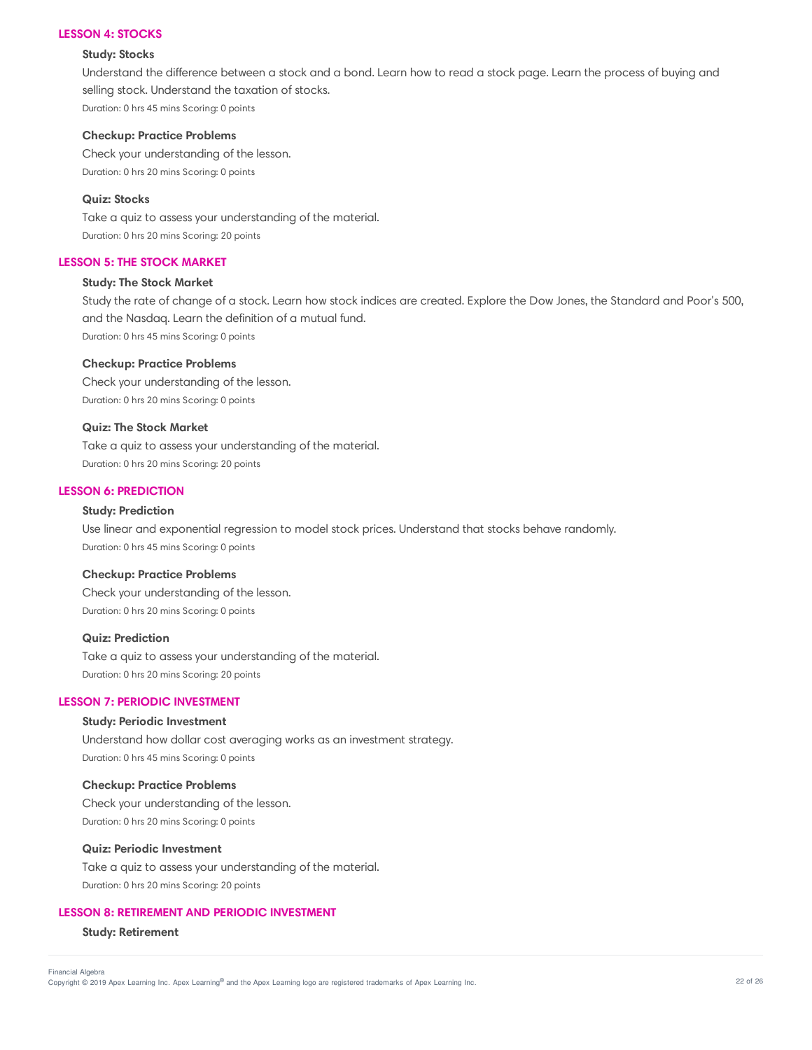#### **LESSON 4: STOCKS**

## **Study: Stocks**

Understand the difference between a stock and a bond. Learn how to read a stock page. Learn the process of buying and selling stock. Understand the taxation of stocks. Duration: 0 hrs 45 mins Scoring: 0 points

#### **Checkup: Practice Problems**

Check your understanding of the lesson. Duration: 0 hrs 20 mins Scoring: 0 points

## **Quiz: Stocks**

Take a quiz to assess your understanding of the material. Duration: 0 hrs 20 mins Scoring: 20 points

# **LESSON 5: THE STOCK MARKET**

# **Study: The Stock Market**

Study the rate of change of a stock. Learn how stock indices are created. Explore the Dow Jones, the Standard and Poor's 500, and the Nasdaq. Learn the definition of a mutual fund. Duration: 0 hrs 45 mins Scoring: 0 points

#### **Checkup: Practice Problems**

Check your understanding of the lesson. Duration: 0 hrs 20 mins Scoring: 0 points

## **Quiz: The Stock Market**

Take a quiz to assess your understanding of the material. Duration: 0 hrs 20 mins Scoring: 20 points

# **LESSON 6: PREDICTION**

## **Study: Prediction**

Use linear and exponential regression to model stock prices. Understand that stocks behave randomly. Duration: 0 hrs 45 mins Scoring: 0 points

#### **Checkup: Practice Problems**

Check your understanding of the lesson. Duration: 0 hrs 20 mins Scoring: 0 points

## **Quiz: Prediction**

Take a quiz to assess your understanding of the material. Duration: 0 hrs 20 mins Scoring: 20 points

# **LESSON 7: PERIODIC INVESTMENT**

# **Study: Periodic Investment**

Understand how dollar cost averaging works as an investment strategy. Duration: 0 hrs 45 mins Scoring: 0 points

## **Checkup: Practice Problems**

Check your understanding of the lesson. Duration: 0 hrs 20 mins Scoring: 0 points

# **Quiz: Periodic Investment**

Take a quiz to assess your understanding of the material. Duration: 0 hrs 20 mins Scoring: 20 points

## **LESSON 8: RETIREMENT AND PERIODIC INVESTMENT**

#### **Study: Retirement**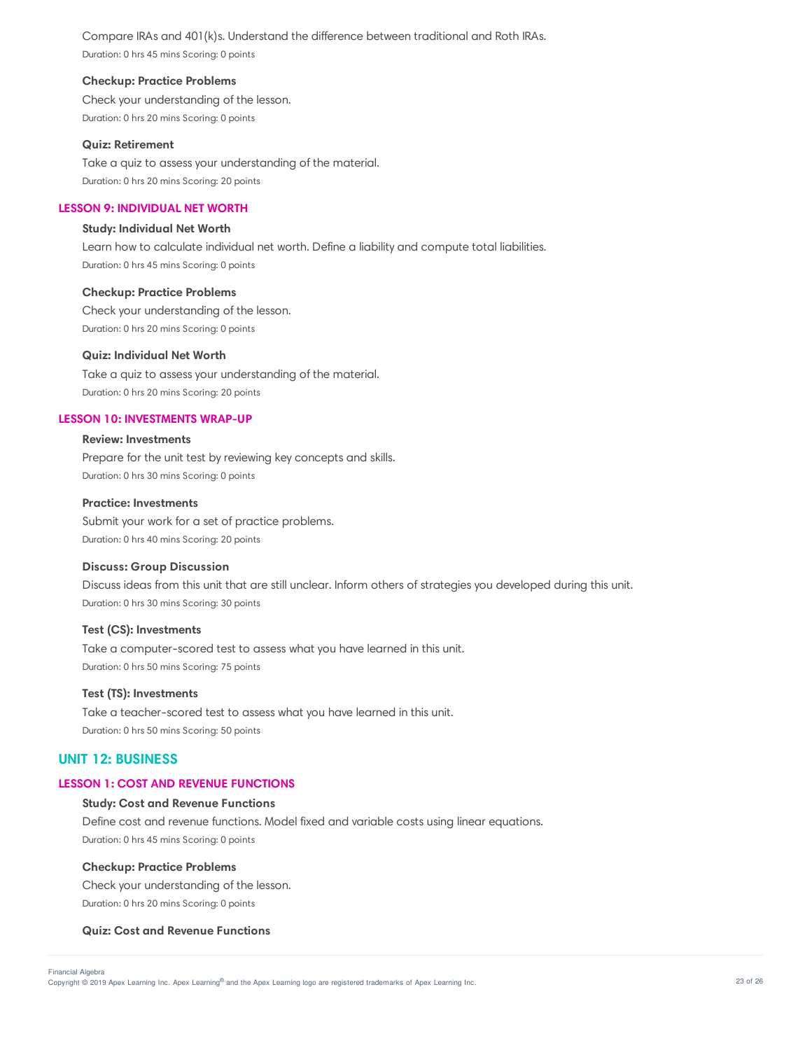Compare IRAs and 401(k)s. Understand the difference between traditional and Roth IRAs. Duration: 0 hrs 45 mins Scoring: 0 points

## **Checkup: Practice Problems**

Check your understanding of the lesson. Duration: 0 hrs 20 mins Scoring: 0 points

# **Quiz: Retirement**

Take a quiz to assess your understanding of the material. Duration: 0 hrs 20 mins Scoring: 20 points

# **LESSON 9: INDIVIDUAL NET WORTH**

## **Study: Individual Net Worth**

Learn how to calculate individual net worth. Define a liability and compute total liabilities. Duration: 0 hrs 45 mins Scoring: 0 points

# **Checkup: Practice Problems**

Check your understanding of the lesson. Duration: 0 hrs 20 mins Scoring: 0 points

## **Quiz: Individual Net Worth**

Take a quiz to assess your understanding of the material. Duration: 0 hrs 20 mins Scoring: 20 points

### **LESSON 10: INVESTMENTS WRAP-UP**

## **Review: Investments**

Prepare for the unit test by reviewing key concepts and skills. Duration: 0 hrs 30 mins Scoring: 0 points

## **Practice: Investments**

Submit your work for a set of practice problems. Duration: 0 hrs 40 mins Scoring: 20 points

## **Discuss: Group Discussion**

Discuss ideas from this unit that are still unclear. Inform others of strategies you developed during this unit. Duration: 0 hrs 30 mins Scoring: 30 points

## **Test (CS): Investments**

Take a computer-scored test to assess what you have learned in this unit. Duration: 0 hrs 50 mins Scoring: 75 points

## **Test (TS): Investments**

Take a teacher-scored test to assess what you have learned in this unit. Duration: 0 hrs 50 mins Scoring: 50 points

# **UNIT 12: BUSINESS**

#### **LESSON 1: COST AND REVENUE FUNCTIONS**

## **Study: Cost and Revenue Functions**

Define cost and revenue functions. Model fixed and variable costs using linear equations. Duration: 0 hrs 45 mins Scoring: 0 points

#### **Checkup: Practice Problems**

Check your understanding of the lesson. Duration: 0 hrs 20 mins Scoring: 0 points

## **Quiz: Cost and Revenue Functions**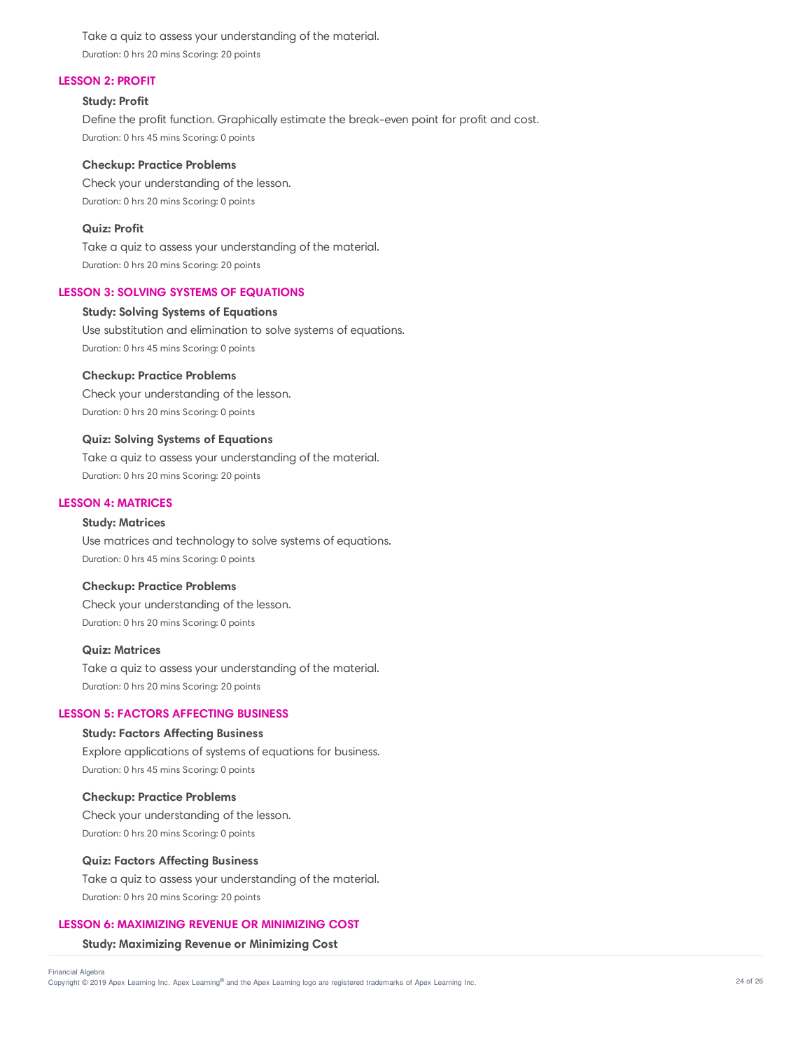Take a quiz to assess your understanding of the material. Duration: 0 hrs 20 mins Scoring: 20 points

## **LESSON 2: PROFIT**

#### **Study: Profit**

Define the profit function. Graphically estimate the break-even point for profit and cost. Duration: 0 hrs 45 mins Scoring: 0 points

#### **Checkup: Practice Problems**

Check your understanding of the lesson. Duration: 0 hrs 20 mins Scoring: 0 points

## **Quiz: Profit**

Take a quiz to assess your understanding of the material. Duration: 0 hrs 20 mins Scoring: 20 points

# **LESSON 3: SOLVING SYSTEMS OF EQUATIONS**

# **Study: Solving Systems of Equations**

Use substitution and elimination to solve systems of equations. Duration: 0 hrs 45 mins Scoring: 0 points

### **Checkup: Practice Problems**

Check your understanding of the lesson. Duration: 0 hrs 20 mins Scoring: 0 points

#### **Quiz: Solving Systems of Equations**

Take a quiz to assess your understanding of the material. Duration: 0 hrs 20 mins Scoring: 20 points

## **LESSON 4: MATRICES**

#### **Study: Matrices**

Use matrices and technology to solve systems of equations. Duration: 0 hrs 45 mins Scoring: 0 points

#### **Checkup: Practice Problems**

Check your understanding of the lesson. Duration: 0 hrs 20 mins Scoring: 0 points

#### **Quiz: Matrices**

Take a quiz to assess your understanding of the material. Duration: 0 hrs 20 mins Scoring: 20 points

# **LESSON 5: FACTORS AFFECTING BUSINESS**

#### **Study: Factors Affecting Business**

Explore applications of systems of equations for business. Duration: 0 hrs 45 mins Scoring: 0 points

#### **Checkup: Practice Problems**

Check your understanding of the lesson. Duration: 0 hrs 20 mins Scoring: 0 points

#### **Quiz: Factors Affecting Business**

Take a quiz to assess your understanding of the material. Duration: 0 hrs 20 mins Scoring: 20 points

## **LESSON 6: MAXIMIZING REVENUE OR MINIMIZING COST**

#### **Study: Maximizing Revenue or Minimizing Cost**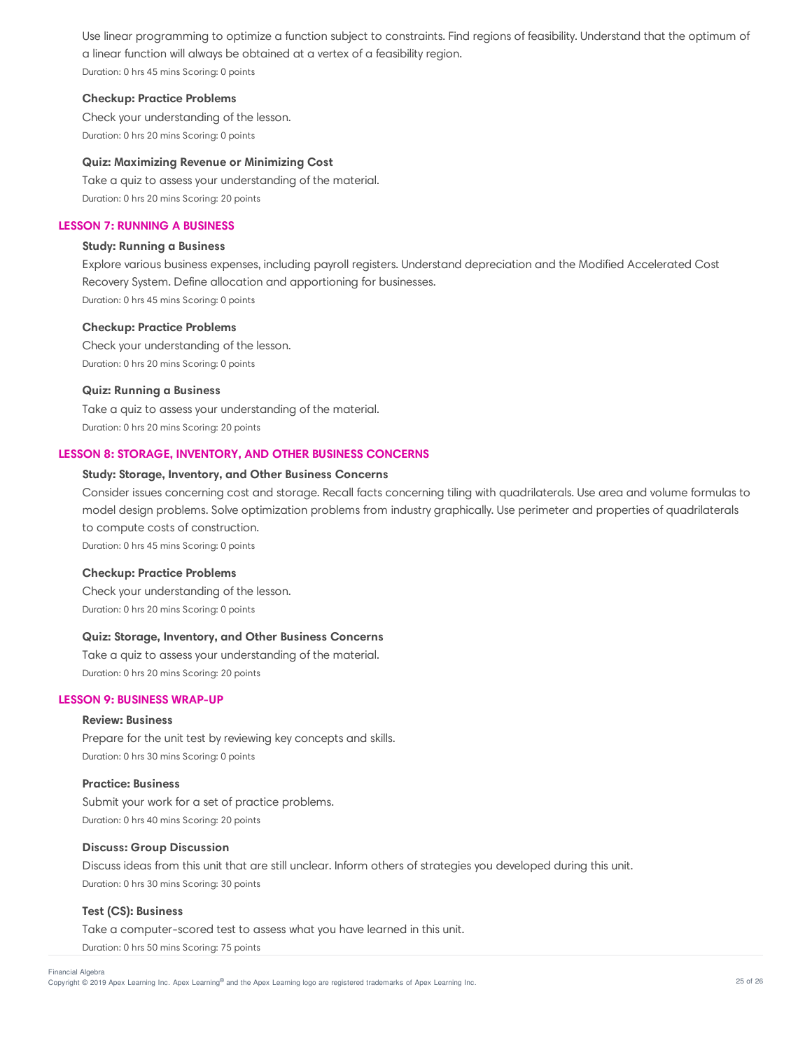Use linear programming to optimize a function subject to constraints. Find regions of feasibility. Understand that the optimum of a linear function will always be obtained at a vertex of a feasibility region. Duration: 0 hrs 45 mins Scoring: 0 points

### **Checkup: Practice Problems**

Check your understanding of the lesson. Duration: 0 hrs 20 mins Scoring: 0 points

## **Quiz: Maximizing Revenue or Minimizing Cost**

Take a quiz to assess your understanding of the material. Duration: 0 hrs 20 mins Scoring: 20 points

# **LESSON 7: RUNNING A BUSINESS**

### **Study: Running a Business**

Explore various business expenses, including payroll registers. Understand depreciation and the Modified Accelerated Cost Recovery System. Define allocation and apportioning for businesses. Duration: 0 hrs 45 mins Scoring: 0 points

# **Checkup: Practice Problems**

Check your understanding of the lesson. Duration: 0 hrs 20 mins Scoring: 0 points

#### **Quiz: Running a Business**

Take a quiz to assess your understanding of the material. Duration: 0 hrs 20 mins Scoring: 20 points

# **LESSON 8: STORAGE, INVENTORY, AND OTHER BUSINESS CONCERNS**

#### **Study: Storage, Inventory, and Other Business Concerns**

Consider issues concerning cost and storage. Recall facts concerning tiling with quadrilaterals. Use area and volume formulas to model design problems. Solve optimization problems from industry graphically. Use perimeter and properties of quadrilaterals to compute costs of construction.

Duration: 0 hrs 45 mins Scoring: 0 points

### **Checkup: Practice Problems**

Check your understanding of the lesson. Duration: 0 hrs 20 mins Scoring: 0 points

#### **Quiz: Storage, Inventory, and Other Business Concerns**

Take a quiz to assess your understanding of the material. Duration: 0 hrs 20 mins Scoring: 20 points

#### **LESSON 9: BUSINESS WRAP-UP**

#### **Review: Business**

Prepare for the unit test by reviewing key concepts and skills. Duration: 0 hrs 30 mins Scoring: 0 points

#### **Practice: Business**

Submit your work for a set of practice problems. Duration: 0 hrs 40 mins Scoring: 20 points

#### **Discuss: Group Discussion**

Discuss ideas from this unit that are still unclear. Inform others of strategies you developed during this unit. Duration: 0 hrs 30 mins Scoring: 30 points

#### **Test (CS): Business**

Take a computer-scored test to assess what you have learned in this unit. Duration: 0 hrs 50 mins Scoring: 75 points